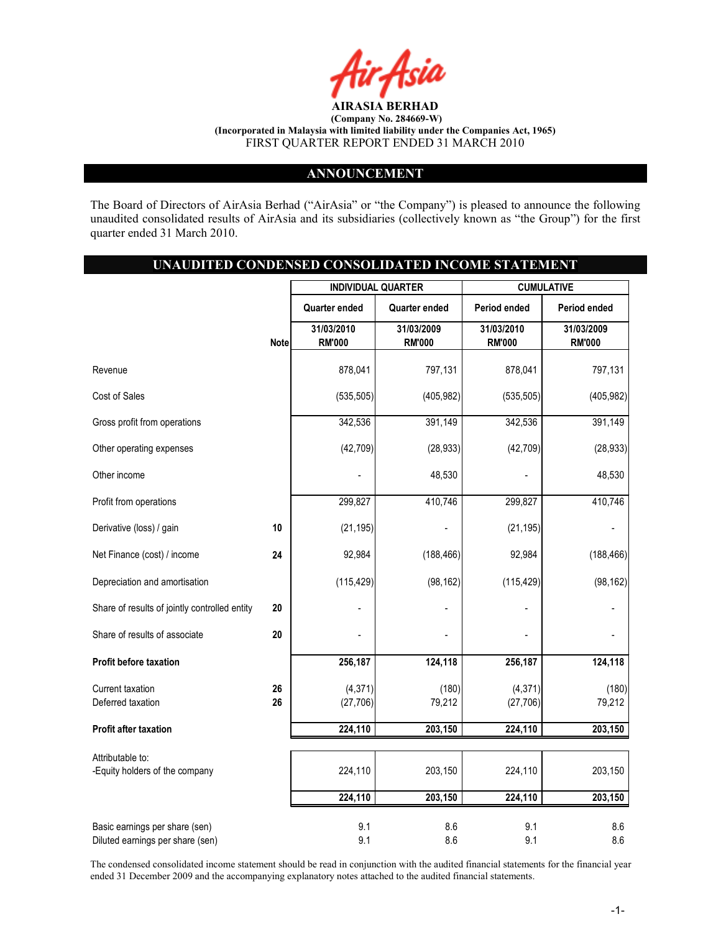

### ANNOUNCEMENT

The Board of Directors of AirAsia Berhad ("AirAsia" or "the Company") is pleased to announce the following unaudited consolidated results of AirAsia and its subsidiaries (collectively known as "the Group") for the first quarter ended 31 March 2010.

### UNAUDITED CONDENSED CONSOLIDATED INCOME STATEMENT

|                                                                    |             |                             | <b>INDIVIDUAL QUARTER</b>   |                             | <b>CUMULATIVE</b>           |
|--------------------------------------------------------------------|-------------|-----------------------------|-----------------------------|-----------------------------|-----------------------------|
|                                                                    |             | <b>Quarter ended</b>        | <b>Quarter ended</b>        | Period ended                | Period ended                |
|                                                                    | <b>Note</b> | 31/03/2010<br><b>RM'000</b> | 31/03/2009<br><b>RM'000</b> | 31/03/2010<br><b>RM'000</b> | 31/03/2009<br><b>RM'000</b> |
| Revenue                                                            |             | 878,041                     | 797,131                     | 878,041                     | 797,131                     |
| Cost of Sales                                                      |             | (535, 505)                  | (405, 982)                  | (535, 505)                  | (405, 982)                  |
| Gross profit from operations                                       |             | 342,536                     | 391,149                     | 342,536                     | 391,149                     |
| Other operating expenses                                           |             | (42, 709)                   | (28, 933)                   | (42, 709)                   | (28, 933)                   |
| Other income                                                       |             |                             | 48,530                      |                             | 48,530                      |
| Profit from operations                                             |             | 299,827                     | 410,746                     | 299,827                     | 410,746                     |
| Derivative (loss) / gain                                           | 10          | (21, 195)                   |                             | (21, 195)                   |                             |
| Net Finance (cost) / income                                        | 24          | 92,984                      | (188, 466)                  | 92,984                      | (188, 466)                  |
| Depreciation and amortisation                                      |             | (115, 429)                  | (98, 162)                   | (115, 429)                  | (98, 162)                   |
| Share of results of jointly controlled entity                      | 20          |                             |                             |                             |                             |
| Share of results of associate                                      | 20          |                             |                             |                             |                             |
| Profit before taxation                                             |             | 256,187                     | 124,118                     | 256,187                     | 124,118                     |
| Current taxation<br>Deferred taxation                              | 26<br>26    | (4, 371)<br>(27, 706)       | (180)<br>79,212             | (4, 371)<br>(27, 706)       | (180)<br>79,212             |
| <b>Profit after taxation</b>                                       |             | 224,110                     | 203,150                     | 224,110                     | 203,150                     |
| Attributable to:<br>-Equity holders of the company                 |             | 224,110                     | 203,150                     | 224,110                     | 203,150                     |
|                                                                    |             | 224,110                     | 203,150                     | 224,110                     | 203,150                     |
| Basic earnings per share (sen)<br>Diluted earnings per share (sen) |             | 9.1<br>9.1                  | 8.6<br>8.6                  | 9.1<br>9.1                  | 8.6<br>8.6                  |

The condensed consolidated income statement should be read in conjunction with the audited financial statements for the financial year ended 31 December 2009 and the accompanying explanatory notes attached to the audited financial statements.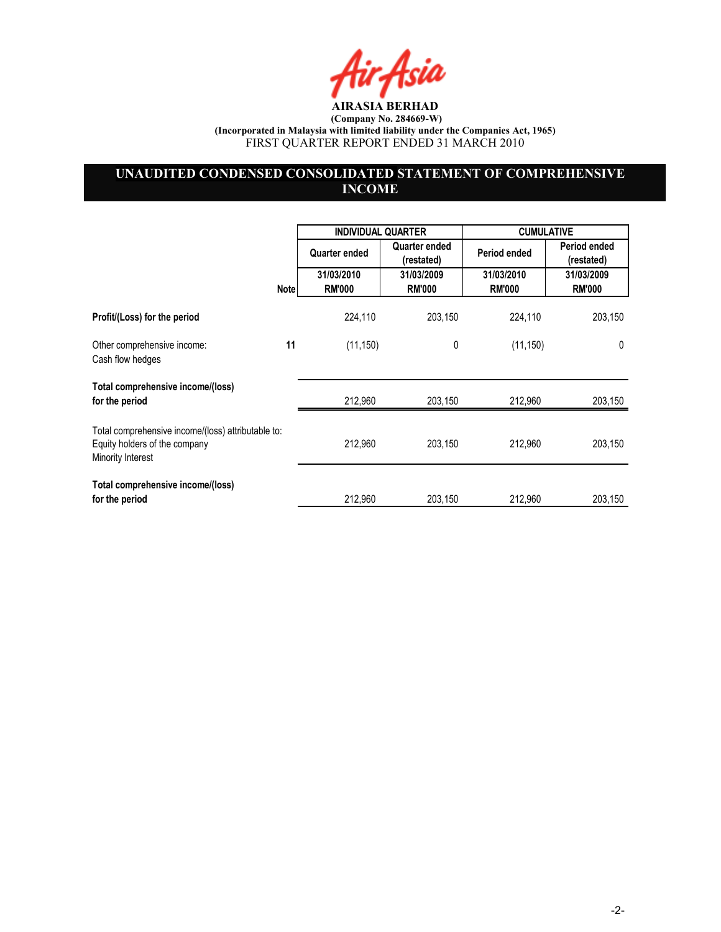fir Asia

# UNAUDITED CONDENSED CONSOLIDATED STATEMENT OF COMPREHENSIVE **INCOME**

|                                                                                                          |             | <b>INDIVIDUAL QUARTER</b>   |                             | <b>CUMULATIVE</b>           |                             |
|----------------------------------------------------------------------------------------------------------|-------------|-----------------------------|-----------------------------|-----------------------------|-----------------------------|
|                                                                                                          |             | Quarter ended               | Quarter ended<br>(restated) | Period ended                | Period ended<br>(restated)  |
|                                                                                                          | <b>Note</b> | 31/03/2010<br><b>RM'000</b> | 31/03/2009<br><b>RM'000</b> | 31/03/2010<br><b>RM'000</b> | 31/03/2009<br><b>RM'000</b> |
| Profit/(Loss) for the period                                                                             |             | 224,110                     | 203,150                     | 224,110                     | 203,150                     |
| Other comprehensive income:<br>Cash flow hedges                                                          | 11          | (11, 150)                   | 0                           | (11, 150)                   | 0                           |
| Total comprehensive income/(loss)<br>for the period                                                      |             | 212,960                     | 203,150                     | 212,960                     | 203,150                     |
| Total comprehensive income/(loss) attributable to:<br>Equity holders of the company<br>Minority Interest |             | 212,960                     | 203,150                     | 212,960                     | 203,150                     |
| Total comprehensive income/(loss)<br>for the period                                                      |             | 212,960                     | 203,150                     | 212,960                     | 203,150                     |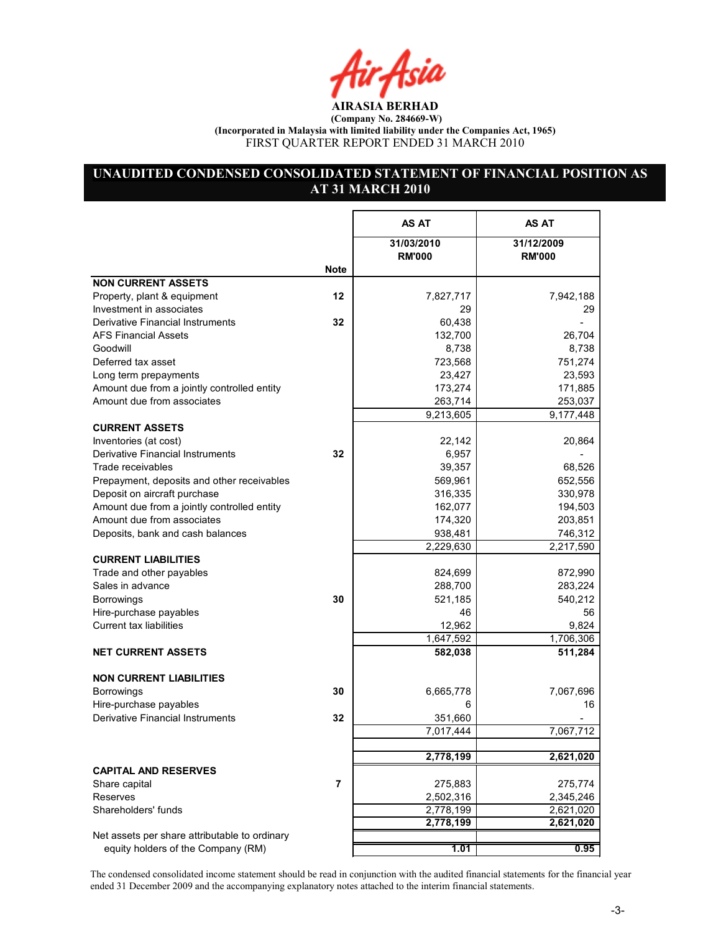fir<sub>i</sub>fsia

# UNAUDITED CONDENSED CONSOLIDATED STATEMENT OF FINANCIAL POSITION AS AT 31 MARCH 2010

|                                               |             | AS AT         | AS AT         |
|-----------------------------------------------|-------------|---------------|---------------|
|                                               |             | 31/03/2010    | 31/12/2009    |
|                                               |             | <b>RM'000</b> | <b>RM'000</b> |
|                                               | <b>Note</b> |               |               |
| <b>NON CURRENT ASSETS</b>                     |             |               |               |
| Property, plant & equipment                   | 12          | 7,827,717     | 7,942,188     |
| Investment in associates                      |             | 29            | 29            |
| <b>Derivative Financial Instruments</b>       | 32          | 60,438        |               |
| <b>AFS Financial Assets</b>                   |             | 132,700       | 26,704        |
| Goodwill                                      |             | 8,738         | 8,738         |
| Deferred tax asset                            |             | 723,568       | 751,274       |
| Long term prepayments                         |             | 23,427        | 23,593        |
| Amount due from a jointly controlled entity   |             | 173,274       | 171,885       |
| Amount due from associates                    |             | 263,714       | 253,037       |
|                                               |             | 9,213,605     | 9,177,448     |
| <b>CURRENT ASSETS</b>                         |             |               |               |
| Inventories (at cost)                         |             | 22,142        | 20,864        |
| Derivative Financial Instruments              | 32          | 6,957         |               |
| Trade receivables                             |             | 39,357        | 68,526        |
| Prepayment, deposits and other receivables    |             | 569,961       | 652,556       |
| Deposit on aircraft purchase                  |             | 316,335       | 330,978       |
| Amount due from a jointly controlled entity   |             | 162,077       | 194,503       |
| Amount due from associates                    |             | 174,320       | 203,851       |
| Deposits, bank and cash balances              |             | 938,481       | 746,312       |
|                                               |             | 2,229,630     | 2,217,590     |
| <b>CURRENT LIABILITIES</b>                    |             |               |               |
| Trade and other payables                      |             | 824,699       | 872,990       |
| Sales in advance                              |             | 288,700       | 283,224       |
| <b>Borrowings</b>                             | 30          | 521,185       | 540,212       |
| Hire-purchase payables                        |             | 46            | 56            |
| Current tax liabilities                       |             | 12,962        | 9,824         |
|                                               |             | 1,647,592     | 1,706,306     |
| <b>NET CURRENT ASSETS</b>                     |             | 582,038       | 511,284       |
|                                               |             |               |               |
| <b>NON CURRENT LIABILITIES</b>                |             |               |               |
| <b>Borrowings</b>                             | 30          | 6,665,778     | 7,067,696     |
| Hire-purchase payables                        |             | 6             | 16            |
| <b>Derivative Financial Instruments</b>       | 32          | 351,660       |               |
|                                               |             | 7,017,444     | 7,067,712     |
|                                               |             |               |               |
|                                               |             | 2,778,199     | 2,621,020     |
| <b>CAPITAL AND RESERVES</b>                   |             |               |               |
| Share capital                                 | 7           | 275,883       | 275,774       |
| Reserves                                      |             | 2,502,316     | 2,345,246     |
| Shareholders' funds                           |             | 2,778,199     | 2,621,020     |
|                                               |             | 2,778,199     | 2,621,020     |
| Net assets per share attributable to ordinary |             |               |               |
| equity holders of the Company (RM)            |             | 1.01          | 0.95          |

The condensed consolidated income statement should be read in conjunction with the audited financial statements for the financial year ended 31 December 2009 and the accompanying explanatory notes attached to the interim financial statements.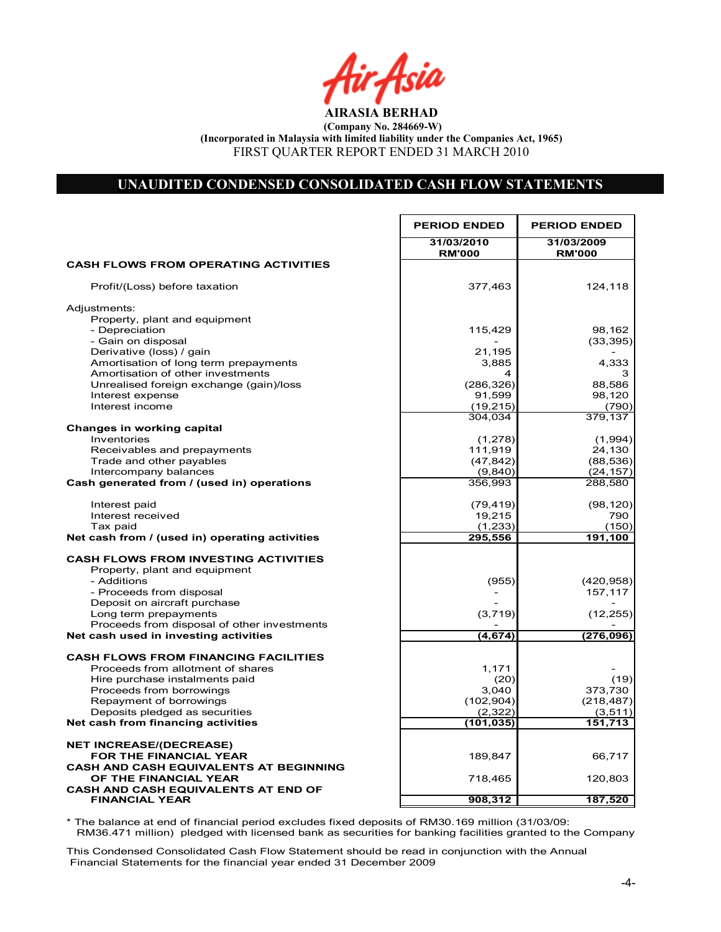r Asia

Г

### UNAUDITED CONDENSED CONSOLIDATED CASH FLOW STATEMENTS

|                                                                                  | <b>PERIOD ENDED</b>         | <b>PERIOD ENDED</b>         |
|----------------------------------------------------------------------------------|-----------------------------|-----------------------------|
|                                                                                  | 31/03/2010<br><b>RM'000</b> | 31/03/2009<br><b>RM'000</b> |
| <b>CASH FLOWS FROM OPERATING ACTIVITIES</b>                                      |                             |                             |
| Profit/(Loss) before taxation                                                    | 377,463                     | 124,118                     |
| Adjustments:                                                                     |                             |                             |
| Property, plant and equipment<br>- Depreciation                                  | 115,429                     | 98,162                      |
| - Gain on disposal                                                               |                             | (33, 395)                   |
| Derivative (loss) / gain                                                         | 21,195                      |                             |
| Amortisation of long term prepayments                                            | 3,885                       | 4,333                       |
| Amortisation of other investments<br>Unrealised foreign exchange (gain)/loss     | 4<br>(286, 326)             | 3<br>88,586                 |
| Interest expense                                                                 | 91,599                      | 98,120                      |
| Interest income                                                                  | (19, 215)                   | (790)                       |
|                                                                                  | 304,034                     | 379,137                     |
| Changes in working capital<br>Inventories                                        | (1,278)                     | (1,994)                     |
| Receivables and prepayments                                                      | 111,919                     | 24,130                      |
| Trade and other payables                                                         | (47, 842)                   | (88, 536)                   |
| Intercompany balances<br>Cash generated from / (used in) operations              | (9, 840)<br>356,993         | (24, 157)<br>288,580        |
|                                                                                  |                             |                             |
| Interest paid                                                                    | (79, 419)                   | (98, 120)                   |
| Interest received                                                                | 19,215                      | 790                         |
| Tax paid<br>Net cash from / (used in) operating activities                       | (1, 233)<br>295,556         | (150)<br>191,100            |
|                                                                                  |                             |                             |
| <b>CASH FLOWS FROM INVESTING ACTIVITIES</b><br>Property, plant and equipment     |                             |                             |
| - Additions                                                                      | (955)                       | (420, 958)                  |
| - Proceeds from disposal                                                         |                             | 157,117                     |
| Deposit on aircraft purchase                                                     |                             |                             |
| Long term prepayments<br>Proceeds from disposal of other investments             | (3,719)                     | (12, 255)                   |
| Net cash used in investing activities                                            | (4, 674)                    | (276, 096)                  |
|                                                                                  |                             |                             |
| <b>CASH FLOWS FROM FINANCING FACILITIES</b><br>Proceeds from allotment of shares | 1,171                       |                             |
| Hire purchase instalments paid                                                   | (20)                        | (19)                        |
| Proceeds from borrowings                                                         | 3,040                       | 373,730                     |
| Repayment of borrowings                                                          | (102, 904)                  | (218, 487)                  |
| Deposits pledged as securities<br>Net cash from financing activities             | (2, 322)<br>(101, 035)      | (3, 511)<br>151,713         |
|                                                                                  |                             |                             |
| <b>NET INCREASE/(DECREASE)</b>                                                   |                             |                             |
| FOR THE FINANCIAL YEAR<br><b>CASH AND CASH EQUIVALENTS AT BEGINNING</b>          | 189,847                     | 66,717                      |
| OF THE FINANCIAL YEAR                                                            | 718,465                     | 120,803                     |
| <b>CASH AND CASH EQUIVALENTS AT END OF</b>                                       |                             |                             |
| <b>FINANCIAL YEAR</b>                                                            | 908,312                     | 187,520                     |

\* The balance at end of financial period excludes fixed deposits of RM30.169 million (31/03/09:

 RM36.471 million) pledged with licensed bank as securities for banking facilities granted to the Company This Condensed Consolidated Cash Flow Statement should be read in conjunction with the Annual

Financial Statements for the financial year ended 31 December 2009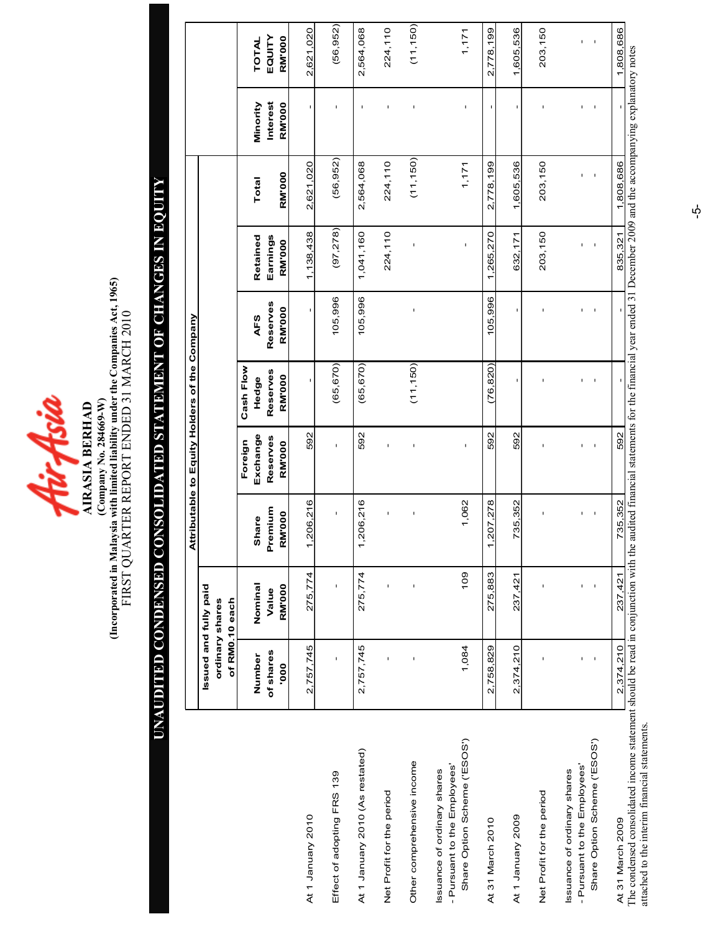

(Incorporated in Malaysia with limited liability under the Companies Act, 1965)<br>FIRST QUARTER REPORT ENDED 31 MARCH 2010 (Incorporated in Malaysia with limited liability under the Companies Act, 1965) FIRST QUARTER REPORT ENDED 31 MARCH 2010  $(Company No. 284669-W)$ (Company o. 284669-W) AIRASIA BERHAD

# UAUDITED CODESED COSOLIDATED STATEMET OF CHAGES I EQUITY UNAUDITED CONDENSED CONSOLIDATED STATEMENT OF CHANGES IN EQUITY

|                                                                                             |                                                            |                                   |                                   | Attributable to Equity Holders of the Company    |                                                 |                                  |                                       |                        |                                              |                                  |
|---------------------------------------------------------------------------------------------|------------------------------------------------------------|-----------------------------------|-----------------------------------|--------------------------------------------------|-------------------------------------------------|----------------------------------|---------------------------------------|------------------------|----------------------------------------------|----------------------------------|
|                                                                                             | Issued and fully paid<br>of RM0.10 each<br>ordinary shares |                                   |                                   |                                                  |                                                 |                                  |                                       |                        |                                              |                                  |
|                                                                                             | of shares<br>Number<br>000.                                | Nominal<br><b>RM'000</b><br>Value | Premium<br><b>RM'000</b><br>Share | Exchange<br>Reserves<br>Foreign<br><b>RM'000</b> | Cash Flow<br>Reserves<br><b>RM'000</b><br>Hedge | Reserves<br><b>RM'000</b><br>AFS | Earnings<br>Retained<br><b>RM'000</b> | <b>RM'000</b><br>Total | <b>Interest</b><br>Minority<br><b>RM'000</b> | EQUITY<br><b>RM'000</b><br>TOTAL |
| At 1 January 2010                                                                           | 2,757,745                                                  | 275,774                           | ,206,216                          | 592                                              |                                                 |                                  | 1,138,438                             | 2,621,020              |                                              | 2,621,020                        |
| Effect of adopting FRS 139                                                                  | ı                                                          | ı                                 | f,                                | f,                                               | (65, 670)                                       | 105,996                          | (97, 278)                             | (56, 952)              | ı                                            | (56, 952)                        |
| At 1 January 2010 (As restated)                                                             | 2,757,745                                                  | 275,774                           | ,206,216                          | 592                                              | (65, 670)                                       | 105,996                          | 1,041,160                             | 2,564,068              | $\mathbf{I}$                                 | 2,564,068                        |
| Net Profit for the period                                                                   |                                                            |                                   |                                   |                                                  |                                                 |                                  | 224,110                               | 224,110                | ï                                            | 224,110                          |
| Other comprehensive income                                                                  |                                                            |                                   |                                   |                                                  | (11, 150)                                       | $\mathbf{I}$                     |                                       | (11, 150)              |                                              | (11, 150)                        |
| Share Option Scheme ('ESOS')<br>- Pursuant to the Employees'<br>Issuance of ordinary shares | 1,084                                                      | 109                               | 1,062                             |                                                  |                                                 |                                  | $\mathbf{I}$                          | 1,171                  |                                              | 1,171                            |
| At 31 March 2010                                                                            | 2,758,829                                                  | 275,883                           | 207,278                           | 592                                              | (76, 820)                                       | 105,996                          | 1,265,270                             | 2,778,199              |                                              | 2,778,199                        |
| At 1 January 2009                                                                           | 2,374,210                                                  | 237,421                           | 735,352                           | 592                                              |                                                 |                                  | 632,171                               | 1,605,536              |                                              | 1,605,536                        |
| Net Profit for the period                                                                   |                                                            |                                   |                                   |                                                  |                                                 | ı                                | 203,150                               | 203,150                |                                              | 203,150                          |
| - Pursuant to the Employees'<br>Issuance of ordinary shares                                 |                                                            | $\mathbf I$                       | 1                                 | 1                                                | ı                                               | ٠                                | f,                                    | ı                      | I.                                           | I.                               |
| Share Option Scheme ('ESOS')                                                                |                                                            | $\mathbf{I}$                      | $\mathbf I$                       | $\mathbf I$                                      | ı                                               | I                                | $\mathbf I$                           | ı                      |                                              | $\mathbf I$                      |
| At 31 March 2009<br>i.                                                                      | 2,374,210                                                  | 237,421                           | 735,352                           | 592                                              |                                                 |                                  | 835,321                               | 1,808,686              |                                              | 1,808,686                        |

The condensed consolidated income statement should be read in conjunction with the audited financial statements for the financial year ended 31 December 2009 and the accompanying explanatory notes<br>attached to the interim f The condensed consolidated income statement should be read in conjunction with the audited financial statements for the financial year ended 31 December 2009 and the accompanying explanatory notes attached to the interim financial statements.

 $\vec{\mathsf{p}}$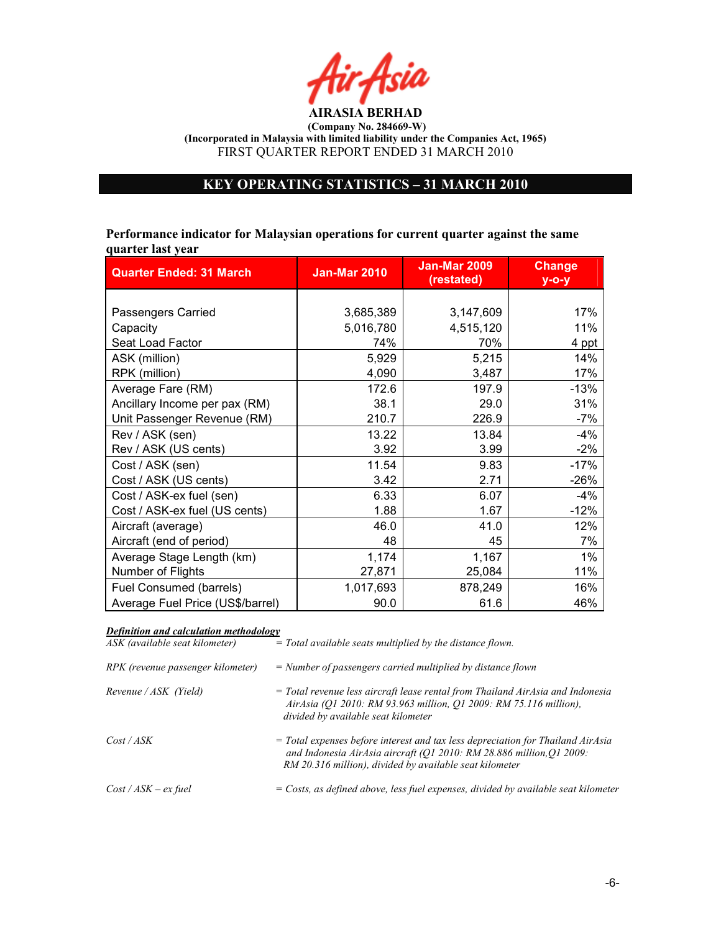

# KEY OPERATING STATISTICS - 31 MARCH 2010

Performance indicator for Malaysian operations for current quarter against the same quarter last year

| <b>Quarter Ended: 31 March</b>   | <b>Jan-Mar 2010</b> | <b>Jan-Mar 2009</b><br>(restated) | <b>Change</b><br>$y$ -o-y |
|----------------------------------|---------------------|-----------------------------------|---------------------------|
|                                  |                     |                                   |                           |
| Passengers Carried               | 3,685,389           | 3,147,609                         | 17%                       |
| Capacity                         | 5,016,780           | 4,515,120                         | 11%                       |
| Seat Load Factor                 | 74%                 | 70%                               | 4 ppt                     |
| ASK (million)                    | 5,929               | 5,215                             | 14%                       |
| RPK (million)                    | 4,090               | 3,487                             | 17%                       |
| Average Fare (RM)                | 172.6               | 197.9                             | $-13%$                    |
| Ancillary Income per pax (RM)    | 38.1                | 29.0                              | 31%                       |
| Unit Passenger Revenue (RM)      | 210.7               | 226.9                             | -7%                       |
| Rev / ASK (sen)                  | 13.22               | 13.84                             | $-4%$                     |
| Rev / ASK (US cents)             | 3.92                | 3.99                              | $-2%$                     |
| Cost / ASK (sen)                 | 11.54               | 9.83                              | $-17%$                    |
| Cost / ASK (US cents)            | 3.42                | 2.71                              | -26%                      |
| Cost / ASK-ex fuel (sen)         | 6.33                | 6.07                              | -4%                       |
| Cost / ASK-ex fuel (US cents)    | 1.88                | 1.67                              | $-12%$                    |
| Aircraft (average)               | 46.0                | 41.0                              | 12%                       |
| Aircraft (end of period)         | 48                  | 45                                | 7%                        |
| Average Stage Length (km)        | 1,174               | 1,167                             | $1\%$                     |
| Number of Flights                | 27,871              | 25,084                            | 11%                       |
| Fuel Consumed (barrels)          | 1,017,693           | 878,249                           | 16%                       |
| Average Fuel Price (US\$/barrel) | 90.0                | 61.6                              | 46%                       |

### Definition and calculation methodology

| ASK (available seat kilometer)    | $=$ Total available seats multiplied by the distance flown.                                                                                                                                                          |
|-----------------------------------|----------------------------------------------------------------------------------------------------------------------------------------------------------------------------------------------------------------------|
| RPK (revenue passenger kilometer) | $=$ Number of passengers carried multiplied by distance flown                                                                                                                                                        |
| Revenue / ASK (Yield)             | $=$ Total revenue less aircraft lease rental from Thailand AirAsia and Indonesia<br>AirAsia (Q1 2010: RM 93.963 million, Q1 2009: RM 75.116 million),<br>divided by available seat kilometer                         |
| Cost / ASK                        | $=$ Total expenses before interest and tax less depreciation for Thailand AirAsia<br>and Indonesia AirAsia aircraft (O1 2010: RM 28.886 million, O1 2009:<br>RM 20.316 million), divided by available seat kilometer |
| $Cost / ASK - ex fuel$            | $=$ Costs, as defined above, less fuel expenses, divided by available seat kilometer                                                                                                                                 |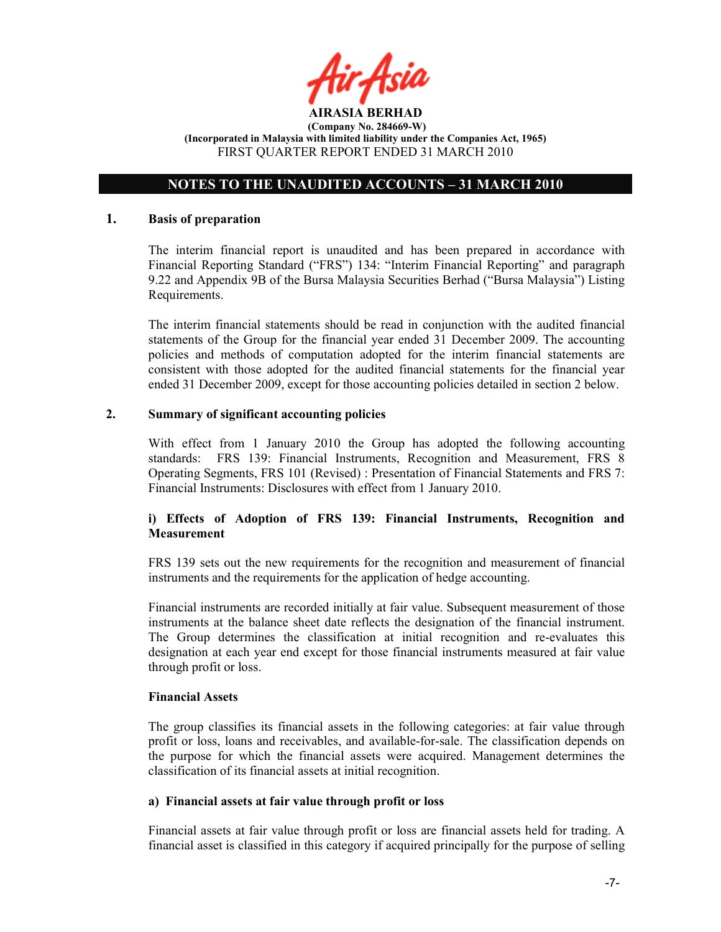

# OTES TO THE UAUDITED ACCOUTS – 31 MARCH 2010

### 1. Basis of preparation

The interim financial report is unaudited and has been prepared in accordance with Financial Reporting Standard ("FRS") 134: "Interim Financial Reporting" and paragraph 9.22 and Appendix 9B of the Bursa Malaysia Securities Berhad ("Bursa Malaysia") Listing Requirements.

The interim financial statements should be read in conjunction with the audited financial statements of the Group for the financial year ended 31 December 2009. The accounting policies and methods of computation adopted for the interim financial statements are consistent with those adopted for the audited financial statements for the financial year ended 31 December 2009, except for those accounting policies detailed in section 2 below.

### 2. Summary of significant accounting policies

With effect from 1 January 2010 the Group has adopted the following accounting standards: FRS 139: Financial Instruments, Recognition and Measurement, FRS 8 Operating Segments, FRS 101 (Revised) : Presentation of Financial Statements and FRS 7: Financial Instruments: Disclosures with effect from 1 January 2010.

### i) Effects of Adoption of FRS 139: Financial Instruments, Recognition and **Measurement**

FRS 139 sets out the new requirements for the recognition and measurement of financial instruments and the requirements for the application of hedge accounting.

Financial instruments are recorded initially at fair value. Subsequent measurement of those instruments at the balance sheet date reflects the designation of the financial instrument. The Group determines the classification at initial recognition and re-evaluates this designation at each year end except for those financial instruments measured at fair value through profit or loss.

### Financial Assets

The group classifies its financial assets in the following categories: at fair value through profit or loss, loans and receivables, and available-for-sale. The classification depends on the purpose for which the financial assets were acquired. Management determines the classification of its financial assets at initial recognition.

### a) Financial assets at fair value through profit or loss

Financial assets at fair value through profit or loss are financial assets held for trading. A financial asset is classified in this category if acquired principally for the purpose of selling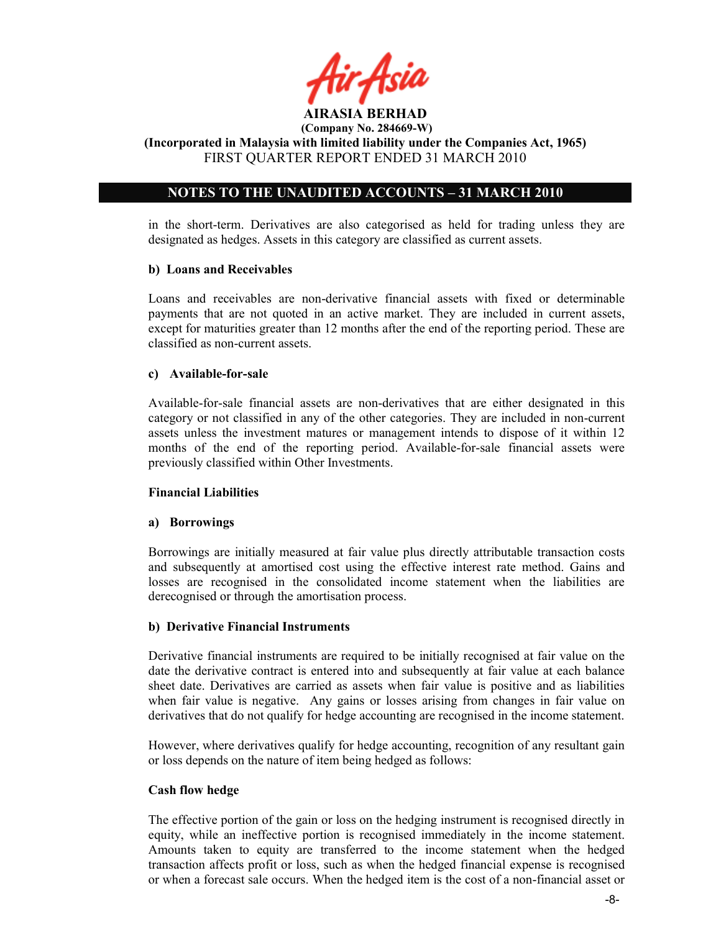

(Company No. 284669-W)

(Incorporated in Malaysia with limited liability under the Companies Act, 1965) FIRST QUARTER REPORT ENDED 31 MARCH 2010

# OTES TO THE UAUDITED ACCOUTS – 31 MARCH 2010

in the short-term. Derivatives are also categorised as held for trading unless they are designated as hedges. Assets in this category are classified as current assets.

### b) Loans and Receivables

Loans and receivables are non-derivative financial assets with fixed or determinable payments that are not quoted in an active market. They are included in current assets, except for maturities greater than 12 months after the end of the reporting period. These are classified as non-current assets.

### c) Available-for-sale

Available-for-sale financial assets are non-derivatives that are either designated in this category or not classified in any of the other categories. They are included in non-current assets unless the investment matures or management intends to dispose of it within 12 months of the end of the reporting period. Available-for-sale financial assets were previously classified within Other Investments.

### Financial Liabilities

### a) Borrowings

Borrowings are initially measured at fair value plus directly attributable transaction costs and subsequently at amortised cost using the effective interest rate method. Gains and losses are recognised in the consolidated income statement when the liabilities are derecognised or through the amortisation process.

### b) Derivative Financial Instruments

Derivative financial instruments are required to be initially recognised at fair value on the date the derivative contract is entered into and subsequently at fair value at each balance sheet date. Derivatives are carried as assets when fair value is positive and as liabilities when fair value is negative. Any gains or losses arising from changes in fair value on derivatives that do not qualify for hedge accounting are recognised in the income statement.

However, where derivatives qualify for hedge accounting, recognition of any resultant gain or loss depends on the nature of item being hedged as follows:

### Cash flow hedge

The effective portion of the gain or loss on the hedging instrument is recognised directly in equity, while an ineffective portion is recognised immediately in the income statement. Amounts taken to equity are transferred to the income statement when the hedged transaction affects profit or loss, such as when the hedged financial expense is recognised or when a forecast sale occurs. When the hedged item is the cost of a non-financial asset or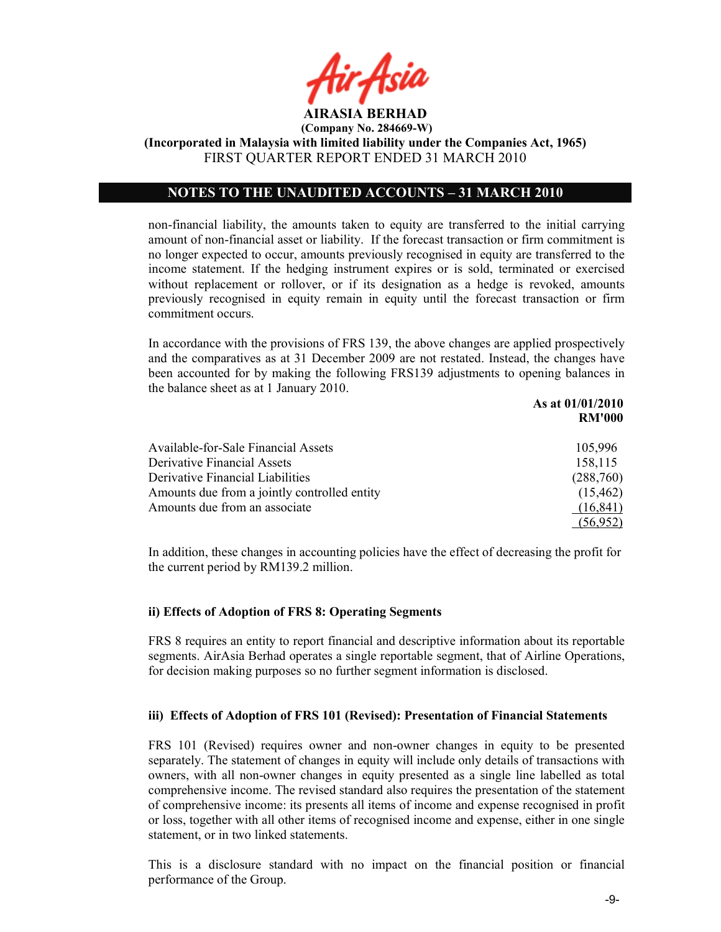

(Company No. 284669-W)

(Incorporated in Malaysia with limited liability under the Companies Act, 1965) FIRST QUARTER REPORT ENDED 31 MARCH 2010

### OTES TO THE UAUDITED ACCOUTS – 31 MARCH 2010

non-financial liability, the amounts taken to equity are transferred to the initial carrying amount of non-financial asset or liability. If the forecast transaction or firm commitment is no longer expected to occur, amounts previously recognised in equity are transferred to the income statement. If the hedging instrument expires or is sold, terminated or exercised without replacement or rollover, or if its designation as a hedge is revoked, amounts previously recognised in equity remain in equity until the forecast transaction or firm commitment occurs.

In accordance with the provisions of FRS 139, the above changes are applied prospectively and the comparatives as at 31 December 2009 are not restated. Instead, the changes have been accounted for by making the following FRS139 adjustments to opening balances in the balance sheet as at 1 January 2010.

|                                              | As at 01/01/2010 |
|----------------------------------------------|------------------|
|                                              | <b>RM'000</b>    |
| Available-for-Sale Financial Assets          | 105,996          |
| Derivative Financial Assets                  | 158,115          |
| Derivative Financial Liabilities             | (288,760)        |
| Amounts due from a jointly controlled entity | (15, 462)        |
| Amounts due from an associate                | (16, 841)        |
|                                              | (56,952)         |

In addition, these changes in accounting policies have the effect of decreasing the profit for the current period by RM139.2 million.

### ii) Effects of Adoption of FRS 8: Operating Segments

FRS 8 requires an entity to report financial and descriptive information about its reportable segments. AirAsia Berhad operates a single reportable segment, that of Airline Operations, for decision making purposes so no further segment information is disclosed.

### iii) Effects of Adoption of FRS 101 (Revised): Presentation of Financial Statements

FRS 101 (Revised) requires owner and non-owner changes in equity to be presented separately. The statement of changes in equity will include only details of transactions with owners, with all non-owner changes in equity presented as a single line labelled as total comprehensive income. The revised standard also requires the presentation of the statement of comprehensive income: its presents all items of income and expense recognised in profit or loss, together with all other items of recognised income and expense, either in one single statement, or in two linked statements.

This is a disclosure standard with no impact on the financial position or financial performance of the Group.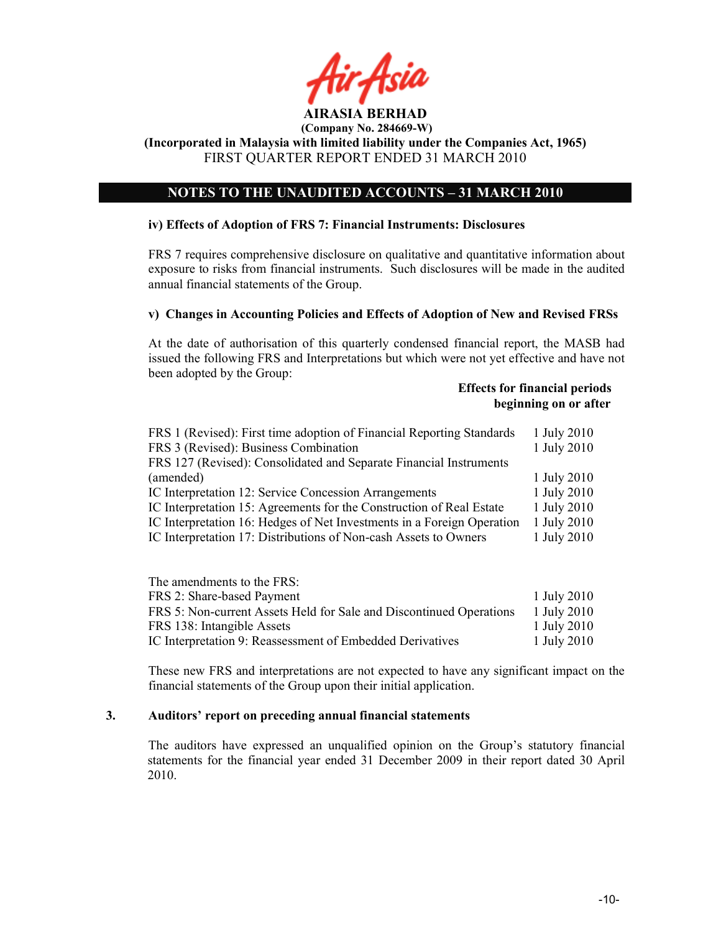

# (Company No. 284669-W) (Incorporated in Malaysia with limited liability under the Companies Act, 1965)

# FIRST QUARTER REPORT ENDED 31 MARCH 2010

# OTES TO THE UAUDITED ACCOUTS – 31 MARCH 2010

### iv) Effects of Adoption of FRS 7: Financial Instruments: Disclosures

FRS 7 requires comprehensive disclosure on qualitative and quantitative information about exposure to risks from financial instruments. Such disclosures will be made in the audited annual financial statements of the Group.

### v) Changes in Accounting Policies and Effects of Adoption of New and Revised FRSs

At the date of authorisation of this quarterly condensed financial report, the MASB had issued the following FRS and Interpretations but which were not yet effective and have not been adopted by the Group:

### Effects for financial periods beginning on or after

| FRS 1 (Revised): First time adoption of Financial Reporting Standards<br>FRS 3 (Revised): Business Combination | 1 July 2010<br>1 July 2010 |
|----------------------------------------------------------------------------------------------------------------|----------------------------|
| FRS 127 (Revised): Consolidated and Separate Financial Instruments                                             |                            |
| (amended)                                                                                                      | 1 July 2010                |
| IC Interpretation 12: Service Concession Arrangements                                                          | 1 July 2010                |
| IC Interpretation 15: Agreements for the Construction of Real Estate                                           | 1 July 2010                |
| IC Interpretation 16: Hedges of Net Investments in a Foreign Operation                                         | 1 July 2010                |
| IC Interpretation 17: Distributions of Non-cash Assets to Owners                                               | 1 July 2010                |

The amendments to the FRS: FRS 2: Share-based Payment 1 July 2010 FRS 5: Non-current Assets Held for Sale and Discontinued Operations 1 July 2010 FRS 138: Intangible Assets 1 July 2010 IC Interpretation 9: Reassessment of Embedded Derivatives 1 July 2010

These new FRS and interpretations are not expected to have any significant impact on the financial statements of the Group upon their initial application.

### 3. Auditors' report on preceding annual financial statements

The auditors have expressed an unqualified opinion on the Group's statutory financial statements for the financial year ended 31 December 2009 in their report dated 30 April 2010.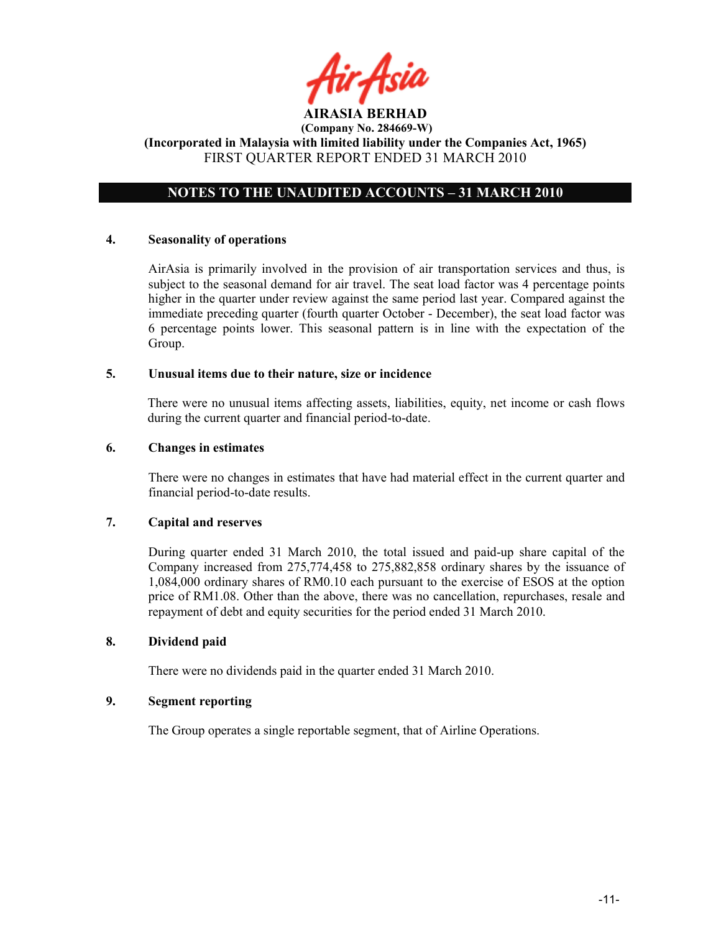

# OTES TO THE UAUDITED ACCOUTS – 31 MARCH 2010

### 4. Seasonality of operations

AirAsia is primarily involved in the provision of air transportation services and thus, is subject to the seasonal demand for air travel. The seat load factor was 4 percentage points higher in the quarter under review against the same period last year. Compared against the immediate preceding quarter (fourth quarter October - December), the seat load factor was 6 percentage points lower. This seasonal pattern is in line with the expectation of the Group.

### 5. Unusual items due to their nature, size or incidence

There were no unusual items affecting assets, liabilities, equity, net income or cash flows during the current quarter and financial period-to-date.

### 6. Changes in estimates

There were no changes in estimates that have had material effect in the current quarter and financial period-to-date results.

### 7. Capital and reserves

During quarter ended 31 March 2010, the total issued and paid-up share capital of the Company increased from 275,774,458 to 275,882,858 ordinary shares by the issuance of 1,084,000 ordinary shares of RM0.10 each pursuant to the exercise of ESOS at the option price of RM1.08. Other than the above, there was no cancellation, repurchases, resale and repayment of debt and equity securities for the period ended 31 March 2010.

### 8. Dividend paid

There were no dividends paid in the quarter ended 31 March 2010.

### 9. Segment reporting

The Group operates a single reportable segment, that of Airline Operations.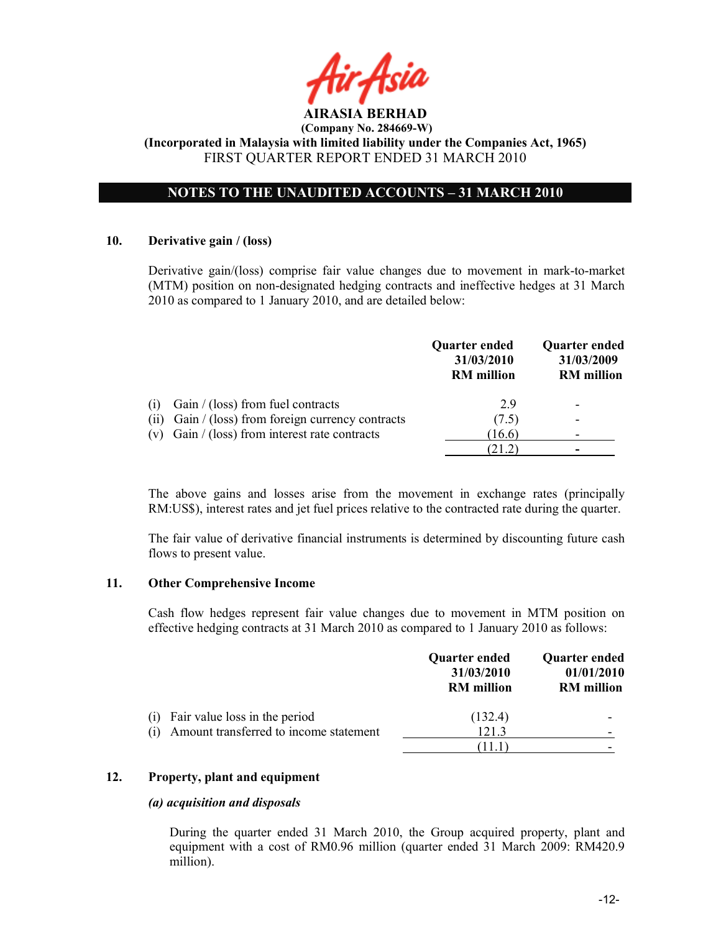

# OTES TO THE UAUDITED ACCOUTS – 31 MARCH 2010

### 10. Derivative gain / (loss)

 Derivative gain/(loss) comprise fair value changes due to movement in mark-to-market (MTM) position on non-designated hedging contracts and ineffective hedges at 31 March 2010 as compared to 1 January 2010, and are detailed below:

|     |                                                  | <b>Quarter ended</b><br>31/03/2010<br><b>RM</b> million | Quarter ended<br>31/03/2009<br><b>RM</b> million |
|-----|--------------------------------------------------|---------------------------------------------------------|--------------------------------------------------|
| (1) | Gain $/$ (loss) from fuel contracts              | 29                                                      | $\overline{\phantom{0}}$                         |
| (i) | Gain / (loss) from foreign currency contracts    | (7.5)                                                   | $\overline{\phantom{0}}$                         |
|     | (v) Gain $/$ (loss) from interest rate contracts | (16.6)                                                  | -                                                |
|     |                                                  |                                                         |                                                  |

The above gains and losses arise from the movement in exchange rates (principally RM:US\$), interest rates and jet fuel prices relative to the contracted rate during the quarter.

The fair value of derivative financial instruments is determined by discounting future cash flows to present value.

### 11. Other Comprehensive Income

Cash flow hedges represent fair value changes due to movement in MTM position on effective hedging contracts at 31 March 2010 as compared to 1 January 2010 as follows:

|                                               | <b>Quarter ended</b><br>31/03/2010<br><b>RM</b> million | Quarter ended<br>01/01/2010<br><b>RM</b> million |
|-----------------------------------------------|---------------------------------------------------------|--------------------------------------------------|
| Fair value loss in the period<br>(1)          | (132.4)                                                 |                                                  |
| Amount transferred to income statement<br>(1) | 121.3                                                   | -                                                |
|                                               |                                                         |                                                  |

### 12. Property, plant and equipment

### (a) acquisition and disposals

During the quarter ended 31 March 2010, the Group acquired property, plant and equipment with a cost of RM0.96 million (quarter ended 31 March 2009: RM420.9 million).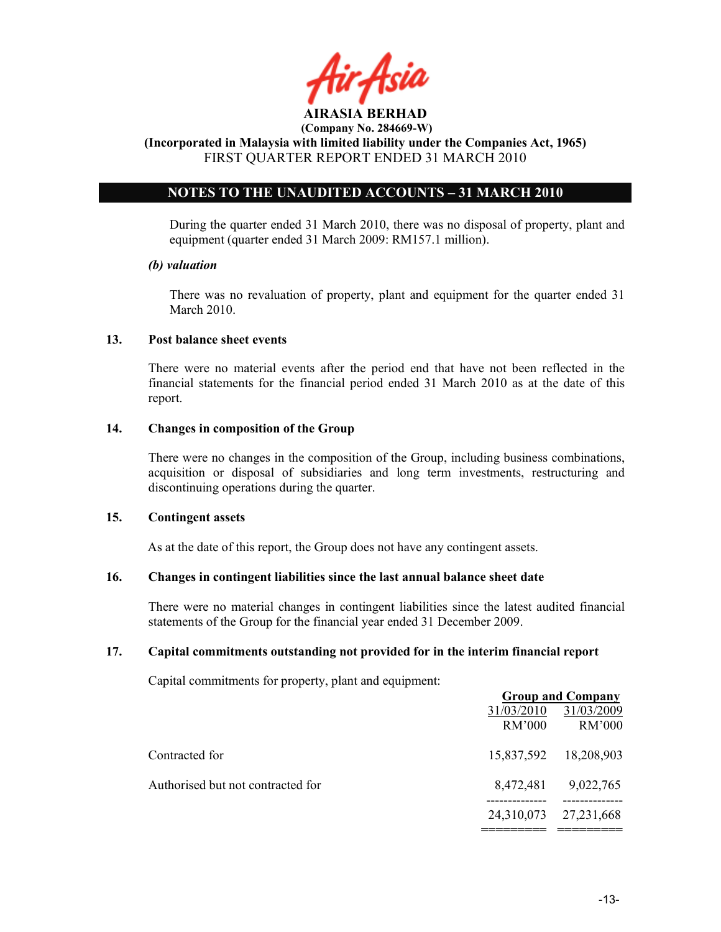AIRASIA BERHAD (Company No. 284669-W)

(Incorporated in Malaysia with limited liability under the Companies Act, 1965) FIRST QUARTER REPORT ENDED 31 MARCH 2010

# OTES TO THE UAUDITED ACCOUTS – 31 MARCH 2010

During the quarter ended 31 March 2010, there was no disposal of property, plant and equipment (quarter ended 31 March 2009: RM157.1 million).

### (b) valuation

 There was no revaluation of property, plant and equipment for the quarter ended 31 March 2010.

### 13. Post balance sheet events

There were no material events after the period end that have not been reflected in the financial statements for the financial period ended 31 March 2010 as at the date of this report.

### 14. Changes in composition of the Group

There were no changes in the composition of the Group, including business combinations, acquisition or disposal of subsidiaries and long term investments, restructuring and discontinuing operations during the quarter.

### 15. Contingent assets

As at the date of this report, the Group does not have any contingent assets.

### 16. Changes in contingent liabilities since the last annual balance sheet date

There were no material changes in contingent liabilities since the latest audited financial statements of the Group for the financial year ended 31 December 2009.

### 17. Capital commitments outstanding not provided for in the interim financial report

Capital commitments for property, plant and equipment:

|            | <b>Group and Company</b> |
|------------|--------------------------|
| 31/03/2010 | 31/03/2009               |
|            | RM'000                   |
| 15,837,592 | 18,208,903               |
| 8,472,481  | 9,022,765                |
| 24,310,073 | 27, 231, 668             |
|            | RM'000                   |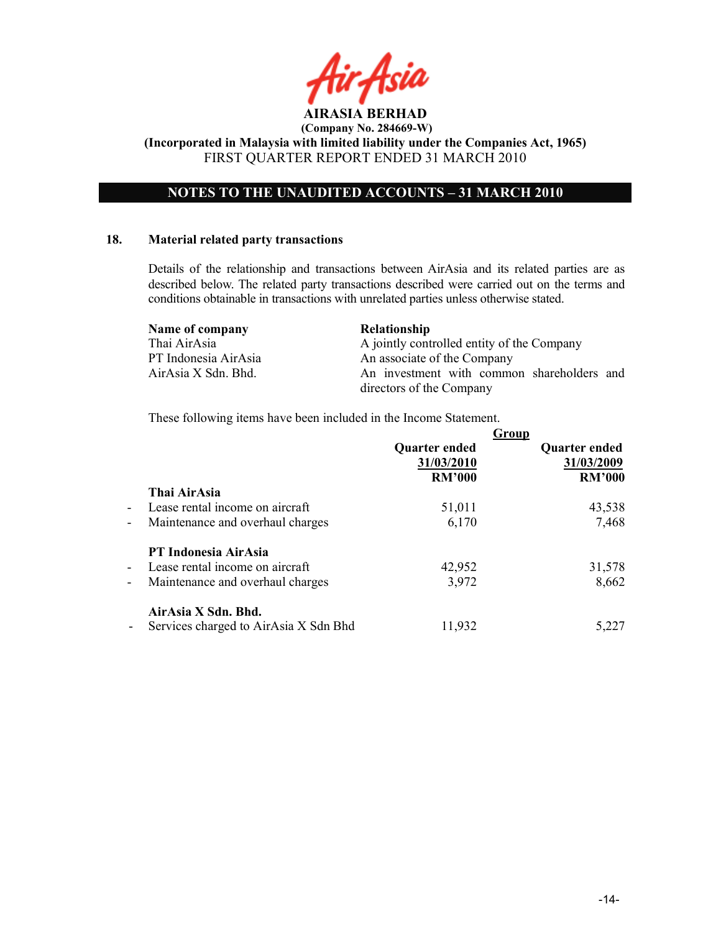# OTES TO THE UAUDITED ACCOUTS – 31 MARCH 2010

### 18. Material related party transactions

Details of the relationship and transactions between AirAsia and its related parties are as described below. The related party transactions described were carried out on the terms and conditions obtainable in transactions with unrelated parties unless otherwise stated.

|              | Name of company      | <b>Relationship</b>                        |  |
|--------------|----------------------|--------------------------------------------|--|
| Thai AirAsia |                      | A jointly controlled entity of the Company |  |
|              | PT Indonesia AirAsia | An associate of the Company                |  |
|              | AirAsia X Sdn. Bhd.  | An investment with common shareholders and |  |
|              |                      | directors of the Company                   |  |

These following items have been included in the Income Statement.

|                          |                                       |                             | Group                              |
|--------------------------|---------------------------------------|-----------------------------|------------------------------------|
|                          |                                       | Quarter ended<br>31/03/2010 | <b>Quarter ended</b><br>31/03/2009 |
|                          |                                       | <b>RM'000</b>               | <b>RM'000</b>                      |
| Thai AirAsia             |                                       |                             |                                    |
| $\blacksquare$           | Lease rental income on aircraft       | 51,011                      | 43,538                             |
| $\overline{\phantom{a}}$ | Maintenance and overhaul charges      | 6,170                       | 7,468                              |
|                          | <b>PT Indonesia AirAsia</b>           |                             |                                    |
|                          | - Lease rental income on aircraft     | 42,952                      | 31,578                             |
| $\overline{\phantom{a}}$ | Maintenance and overhaul charges      | 3,972                       | 8,662                              |
|                          | AirAsia X Sdn. Bhd.                   |                             |                                    |
| $\sim$                   | Services charged to AirAsia X Sdn Bhd | 11,932                      | 5,227                              |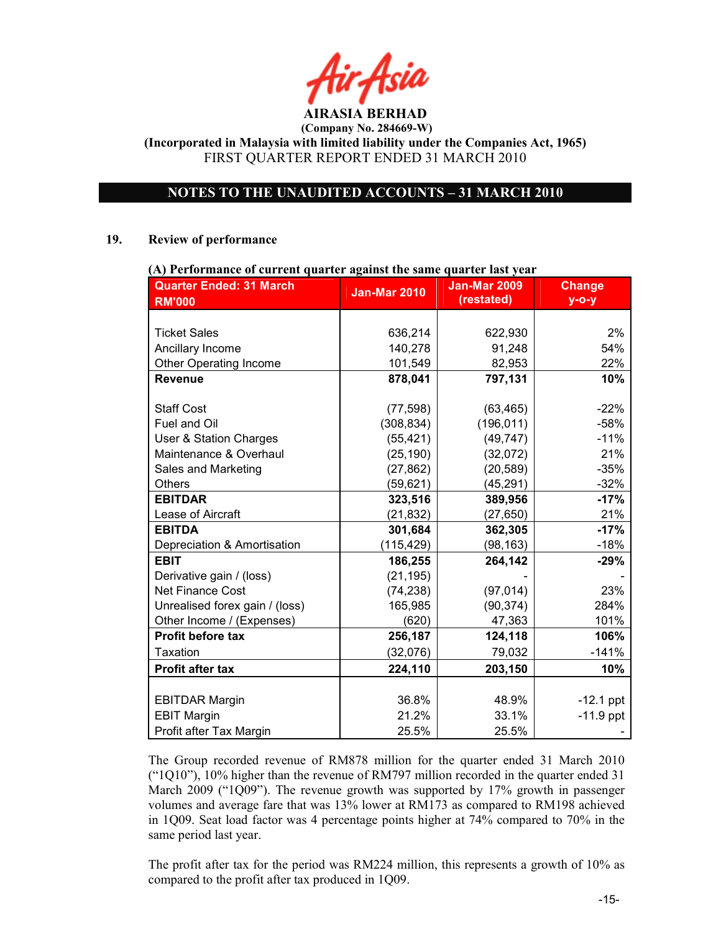# NOTES TO THE UNAUDITED ACCOUNTS - 31 MARCH 2010

### 19. Review of performance

| (A) Performance of current quarter against the same quarter last year |                     |                     |               |  |  |
|-----------------------------------------------------------------------|---------------------|---------------------|---------------|--|--|
| <b>Quarter Ended: 31 March</b>                                        | <b>Jan-Mar 2010</b> | <b>Jan-Mar 2009</b> | <b>Change</b> |  |  |
| <b>RM'000</b>                                                         |                     | (restated)          | $y$ -o-y      |  |  |
|                                                                       |                     |                     |               |  |  |
| <b>Ticket Sales</b>                                                   | 636,214             | 622,930             | 2%            |  |  |
| Ancillary Income                                                      | 140,278             | 91,248              | 54%           |  |  |
| <b>Other Operating Income</b>                                         | 101,549             | 82,953              | 22%           |  |  |
| <b>Revenue</b>                                                        | 878,041             | 797,131             | 10%           |  |  |
|                                                                       |                     |                     |               |  |  |
| <b>Staff Cost</b>                                                     | (77, 598)           | (63, 465)           | $-22%$        |  |  |
| Fuel and Oil                                                          | (308, 834)          | (196, 011)          | $-58%$        |  |  |
| <b>User &amp; Station Charges</b>                                     | (55, 421)           | (49, 747)           | $-11%$        |  |  |
| Maintenance & Overhaul                                                | (25, 190)           | (32,072)            | 21%           |  |  |
| Sales and Marketing                                                   | (27, 862)           | (20, 589)           | $-35%$        |  |  |
| <b>Others</b>                                                         | (59, 621)           | (45, 291)           | $-32%$        |  |  |
| <b>EBITDAR</b>                                                        | 323,516             | 389,956             | $-17%$        |  |  |
| Lease of Aircraft                                                     | (21, 832)           | (27, 650)           | 21%           |  |  |
| <b>EBITDA</b>                                                         | 301,684             | 362,305             | $-17%$        |  |  |
| Depreciation & Amortisation                                           | (115, 429)          | (98, 163)           | $-18%$        |  |  |
| <b>EBIT</b>                                                           | 186,255             | 264,142             | $-29%$        |  |  |
| Derivative gain / (loss)                                              | (21, 195)           |                     |               |  |  |
| <b>Net Finance Cost</b>                                               | (74, 238)           | (97, 014)           | 23%           |  |  |
| Unrealised forex gain / (loss)                                        | 165,985             | (90, 374)           | 284%          |  |  |
| Other Income / (Expenses)                                             | (620)               | 47,363              | 101%          |  |  |
| Profit before tax                                                     | 256,187             | 124,118             | 106%          |  |  |
| <b>Taxation</b>                                                       | (32,076)            | 79,032              | $-141%$       |  |  |
| <b>Profit after tax</b>                                               | 224,110             | 203,150             | 10%           |  |  |
|                                                                       |                     |                     |               |  |  |
| <b>EBITDAR Margin</b>                                                 | 36.8%               | 48.9%               | $-12.1$ ppt   |  |  |
| <b>EBIT Margin</b>                                                    | 21.2%               | 33.1%               | $-11.9$ ppt   |  |  |
| Profit after Tax Margin                                               | 25.5%               | 25.5%               |               |  |  |

# $\alpha$ ) Depresses of current quarter against the same quarter last

The Group recorded revenue of RM878 million for the quarter ended 31 March 2010 ("1Q10"), 10% higher than the revenue of RM797 million recorded in the quarter ended 31 March 2009 ("1Q09"). The revenue growth was supported by 17% growth in passenger volumes and average fare that was 13% lower at RM173 as compared to RM198 achieved in 1Q09. Seat load factor was 4 percentage points higher at 74% compared to 70% in the same period last year.

The profit after tax for the period was RM224 million, this represents a growth of 10% as compared to the profit after tax produced in 1Q09.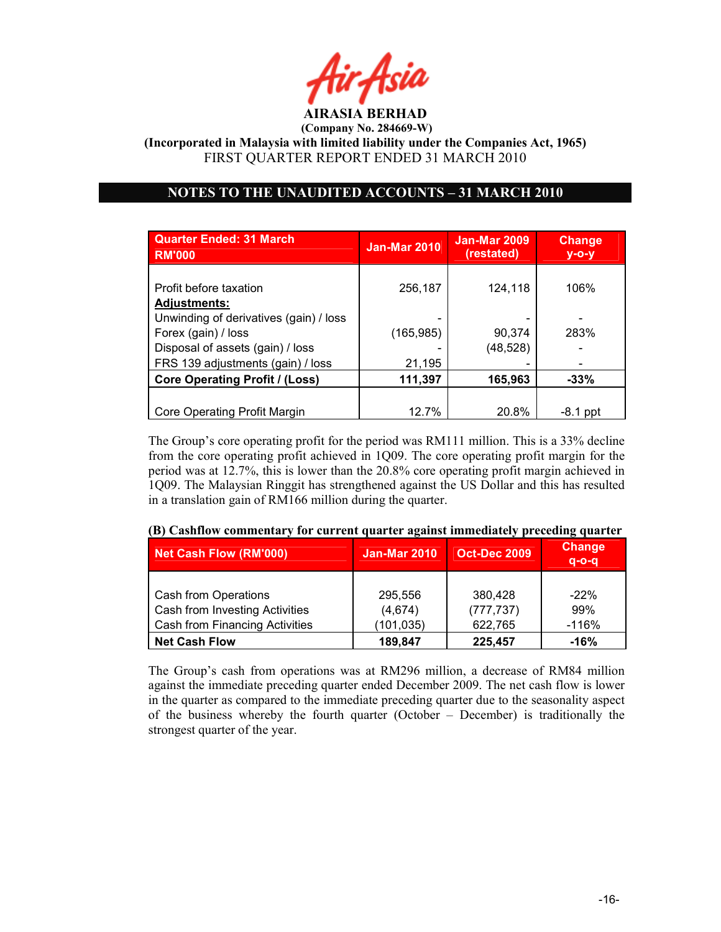AIRASIA BERHAD

(Company No. 284669-W)

(Incorporated in Malaysia with limited liability under the Companies Act, 1965) FIRST QUARTER REPORT ENDED 31 MARCH 2010

# OTES TO THE UAUDITED ACCOUTS – 31 MARCH 2010

| <b>Quarter Ended: 31 March</b><br><b>RM'000</b> | <b>Jan-Mar 2010</b> | Jan-Mar 2009<br>(restated) | <b>Change</b><br>$V - O - V$ |
|-------------------------------------------------|---------------------|----------------------------|------------------------------|
|                                                 |                     |                            |                              |
| Profit before taxation                          | 256,187             | 124,118                    | 106%                         |
| <b>Adjustments:</b>                             |                     |                            |                              |
| Unwinding of derivatives (gain) / loss          |                     |                            |                              |
| Forex (gain) / loss                             | (165, 985)          | 90,374                     | 283%                         |
| Disposal of assets (gain) / loss                |                     | (48,528)                   |                              |
| FRS 139 adjustments (gain) / loss               | 21,195              |                            |                              |
| <b>Core Operating Profit / (Loss)</b>           | 111,397             | 165,963                    | $-33%$                       |
|                                                 |                     |                            |                              |
| Core Operating Profit Margin                    | 12.7%               | 20.8%                      | $-8.1$ ppt                   |

The Group's core operating profit for the period was RM111 million. This is a 33% decline from the core operating profit achieved in 1Q09. The core operating profit margin for the period was at 12.7%, this is lower than the 20.8% core operating profit margin achieved in 1Q09. The Malaysian Ringgit has strengthened against the US Dollar and this has resulted in a translation gain of RM166 million during the quarter.

| Net Cash Flow (RM'000)         | <b>Jan-Mar 2010</b> | <b>Oct-Dec 2009</b> | <b>Change</b><br>$q - o - q$ |
|--------------------------------|---------------------|---------------------|------------------------------|
| Cash from Operations           | 295,556             | 380,428             | $-22%$                       |
| Cash from Investing Activities | (4,674)             | (777, 737)          | 99%                          |
| Cash from Financing Activities | (101, 035)          | 622,765             | $-116%$                      |
| <b>Net Cash Flow</b>           | 189,847             | 225,457             | $-16%$                       |

### (B) Cashflow commentary for current quarter against immediately preceding quarter

The Group's cash from operations was at RM296 million, a decrease of RM84 million against the immediate preceding quarter ended December 2009. The net cash flow is lower in the quarter as compared to the immediate preceding quarter due to the seasonality aspect of the business whereby the fourth quarter (October – December) is traditionally the strongest quarter of the year.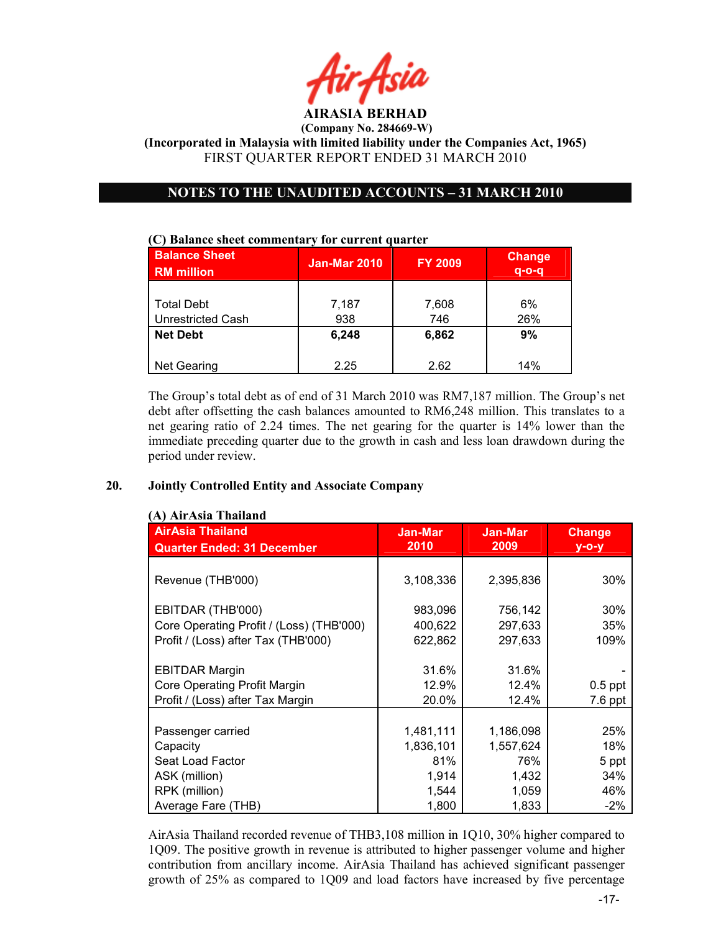

# OTES TO THE UAUDITED ACCOUTS – 31 MARCH 2010

| <b>Balance Sheet</b><br><b>RM</b> million | <b>Jan-Mar 2010</b> | <b>FY 2009</b> | <b>Change</b><br>$a$ -o-a |
|-------------------------------------------|---------------------|----------------|---------------------------|
|                                           |                     |                |                           |
| <b>Total Debt</b>                         | 7,187               | 7,608          | 6%                        |
| <b>Unrestricted Cash</b>                  | 938                 | 746            | 26%                       |
| <b>Net Debt</b>                           | 6,248               | 6,862          | 9%                        |
|                                           |                     |                |                           |
| <b>Net Gearing</b>                        | 2.25                | 2.62           | 14%                       |

### (C) Balance sheet commentary for current quarter

The Group's total debt as of end of 31 March 2010 was RM7,187 million. The Group's net debt after offsetting the cash balances amounted to RM6,248 million. This translates to a net gearing ratio of 2.24 times. The net gearing for the quarter is 14% lower than the immediate preceding quarter due to the growth in cash and less loan drawdown during the period under review.

### 20. Jointly Controlled Entity and Associate Company

| A) AirAsia Thailand                                          |                        |                 |                           |
|--------------------------------------------------------------|------------------------|-----------------|---------------------------|
| <b>AirAsia Thailand</b><br><b>Quarter Ended: 31 December</b> | <b>Jan-Mar</b><br>2010 | Jan-Mar<br>2009 | <b>Change</b><br>$y$ -o-y |
|                                                              |                        |                 |                           |
| Revenue (THB'000)                                            | 3,108,336              | 2,395,836       | 30%                       |
| EBITDAR (THB'000)                                            | 983,096                | 756,142         | 30%                       |
| Core Operating Profit / (Loss) (THB'000)                     | 400,622                | 297,633         | 35%                       |
| Profit / (Loss) after Tax (THB'000)                          | 622,862                | 297,633         | 109%                      |
|                                                              |                        |                 |                           |
| <b>EBITDAR Margin</b>                                        | 31.6%                  | 31.6%           |                           |
| Core Operating Profit Margin                                 | 12.9%                  | 12.4%           | $0.5$ ppt                 |
| Profit / (Loss) after Tax Margin                             | 20.0%                  | 12.4%           | $7.6$ ppt                 |
|                                                              |                        |                 |                           |
| Passenger carried                                            | 1,481,111              | 1,186,098       | 25%                       |
| Capacity                                                     | 1,836,101              | 1,557,624       | 18%                       |
| Seat Load Factor                                             | 81%                    | 76%             | 5 ppt                     |
| ASK (million)                                                | 1,914                  | 1,432           | 34%                       |
| RPK (million)                                                | 1,544                  | 1,059           | 46%                       |
| Average Fare (THB)                                           | 1,800                  | 1,833           | $-2%$                     |

 $(4)$   $(4)$   $(4)$   $(4)$   $(4)$ 

AirAsia Thailand recorded revenue of THB3,108 million in 1Q10, 30% higher compared to 1Q09. The positive growth in revenue is attributed to higher passenger volume and higher contribution from ancillary income. AirAsia Thailand has achieved significant passenger growth of 25% as compared to 1Q09 and load factors have increased by five percentage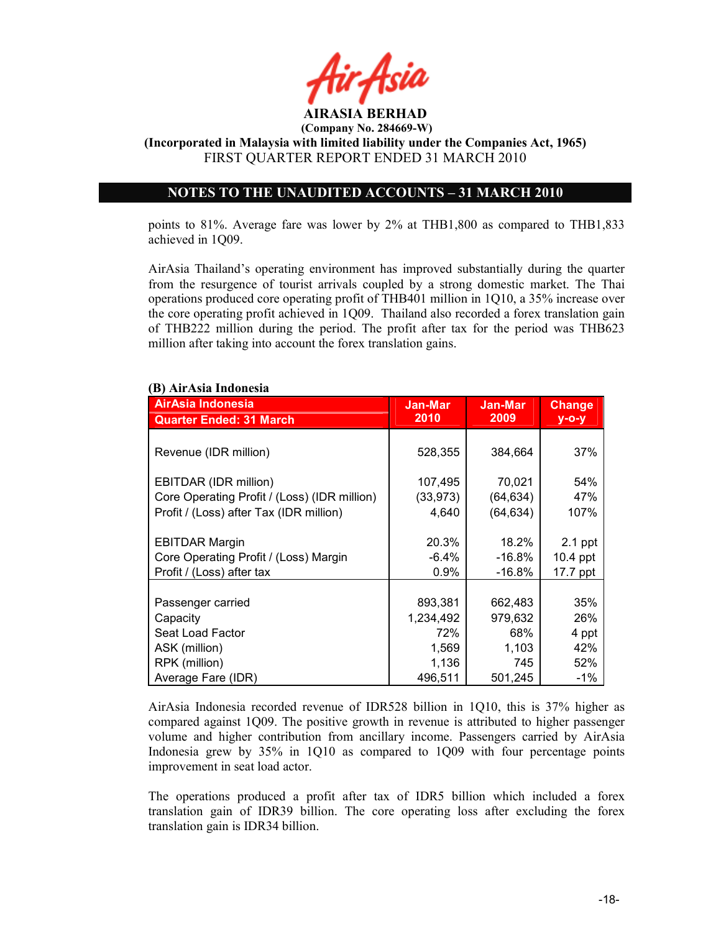

(Company No. 284669-W)

(Incorporated in Malaysia with limited liability under the Companies Act, 1965) FIRST QUARTER REPORT ENDED 31 MARCH 2010

## OTES TO THE UAUDITED ACCOUTS – 31 MARCH 2010

points to 81%. Average fare was lower by 2% at THB1,800 as compared to THB1,833 achieved in 1Q09.

AirAsia Thailand's operating environment has improved substantially during the quarter from the resurgence of tourist arrivals coupled by a strong domestic market. The Thai operations produced core operating profit of THB401 million in 1Q10, a 35% increase over the core operating profit achieved in 1Q09. Thailand also recorded a forex translation gain of THB222 million during the period. The profit after tax for the period was THB623 million after taking into account the forex translation gains.

| D7 / М1 / Кна Индонезіа                      |                |                |               |  |
|----------------------------------------------|----------------|----------------|---------------|--|
| AirAsia Indonesia                            | <b>Jan-Mar</b> | <b>Jan-Mar</b> | <b>Change</b> |  |
| <b>Quarter Ended: 31 March</b>               | 2010           | 2009           | $y$ -o-y      |  |
|                                              |                |                |               |  |
| Revenue (IDR million)                        | 528,355        | 384,664        | 37%           |  |
|                                              |                |                |               |  |
| EBITDAR (IDR million)                        | 107,495        | 70,021         | 54%           |  |
| Core Operating Profit / (Loss) (IDR million) | (33, 973)      | (64, 634)      | 47%           |  |
| Profit / (Loss) after Tax (IDR million)      | 4,640          | (64, 634)      | 107%          |  |
|                                              |                |                |               |  |
| <b>EBITDAR Margin</b>                        | 20.3%          | 18.2%          | $2.1$ ppt     |  |
| Core Operating Profit / (Loss) Margin        | $-6.4%$        | $-16.8%$       | 10.4 ppt      |  |
| Profit / (Loss) after tax                    | 0.9%           | $-16.8%$       | 17.7 ppt      |  |
|                                              |                |                |               |  |
| Passenger carried                            | 893,381        | 662,483        | 35%           |  |
| Capacity                                     | 1,234,492      | 979,632        | 26%           |  |
| Seat Load Factor                             | 72%            | 68%            | 4 ppt         |  |
| ASK (million)                                | 1,569          | 1,103          | 42%           |  |
| RPK (million)                                | 1,136          | 745            | 52%           |  |
| Average Fare (IDR)                           | 496,511        | 501,245        | -1%           |  |

# (B) AirAsia Indonesia

AirAsia Indonesia recorded revenue of IDR528 billion in 1Q10, this is 37% higher as compared against 1Q09. The positive growth in revenue is attributed to higher passenger volume and higher contribution from ancillary income. Passengers carried by AirAsia Indonesia grew by 35% in 1Q10 as compared to 1Q09 with four percentage points improvement in seat load actor.

The operations produced a profit after tax of IDR5 billion which included a forex translation gain of IDR39 billion. The core operating loss after excluding the forex translation gain is IDR34 billion.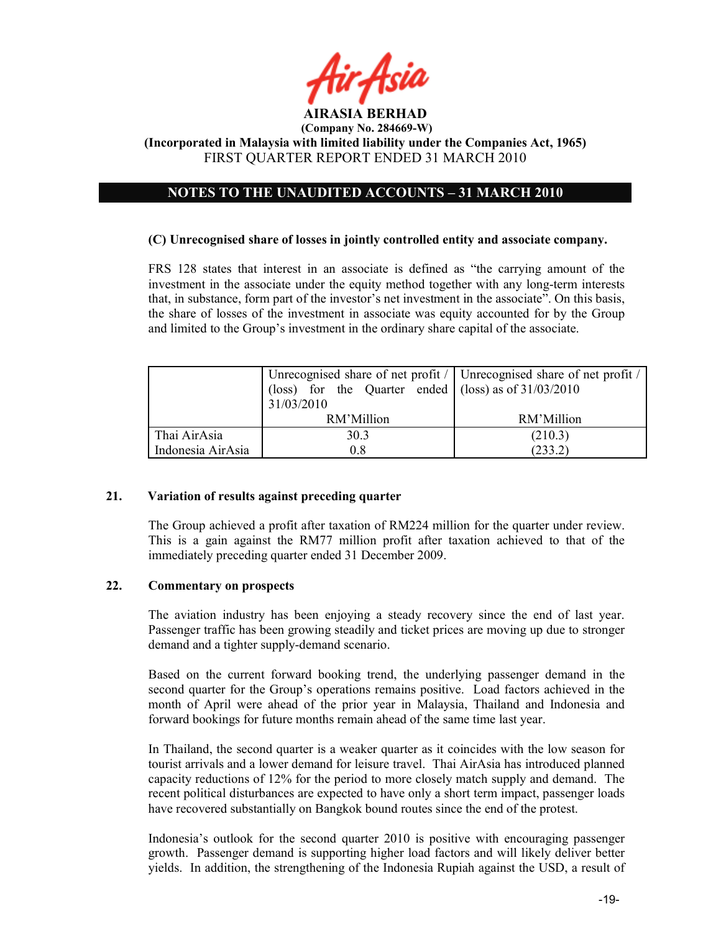

# OTES TO THE UAUDITED ACCOUTS – 31 MARCH 2010

### (C) Unrecognised share of losses in jointly controlled entity and associate company.

FRS 128 states that interest in an associate is defined as "the carrying amount of the investment in the associate under the equity method together with any long-term interests that, in substance, form part of the investor's net investment in the associate". On this basis, the share of losses of the investment in associate was equity accounted for by the Group and limited to the Group's investment in the ordinary share capital of the associate.

|                   | Unrecognised share of net profit / Unrecognised share of net profit / |            |
|-------------------|-----------------------------------------------------------------------|------------|
|                   | (loss) for the Quarter ended $\int$ (loss) as of 31/03/2010           |            |
|                   | 31/03/2010                                                            |            |
|                   | RM'Million                                                            | RM'Million |
| Thai AirAsia      | 30.3                                                                  | (210.3)    |
| Indonesia AirAsia | 0.8                                                                   | (233.2)    |

### 21. Variation of results against preceding quarter

The Group achieved a profit after taxation of RM224 million for the quarter under review. This is a gain against the RM77 million profit after taxation achieved to that of the immediately preceding quarter ended 31 December 2009.

### 22. Commentary on prospects

The aviation industry has been enjoying a steady recovery since the end of last year. Passenger traffic has been growing steadily and ticket prices are moving up due to stronger demand and a tighter supply-demand scenario.

Based on the current forward booking trend, the underlying passenger demand in the second quarter for the Group's operations remains positive. Load factors achieved in the month of April were ahead of the prior year in Malaysia, Thailand and Indonesia and forward bookings for future months remain ahead of the same time last year.

In Thailand, the second quarter is a weaker quarter as it coincides with the low season for tourist arrivals and a lower demand for leisure travel. Thai AirAsia has introduced planned capacity reductions of 12% for the period to more closely match supply and demand. The recent political disturbances are expected to have only a short term impact, passenger loads have recovered substantially on Bangkok bound routes since the end of the protest.

Indonesia's outlook for the second quarter 2010 is positive with encouraging passenger growth. Passenger demand is supporting higher load factors and will likely deliver better yields. In addition, the strengthening of the Indonesia Rupiah against the USD, a result of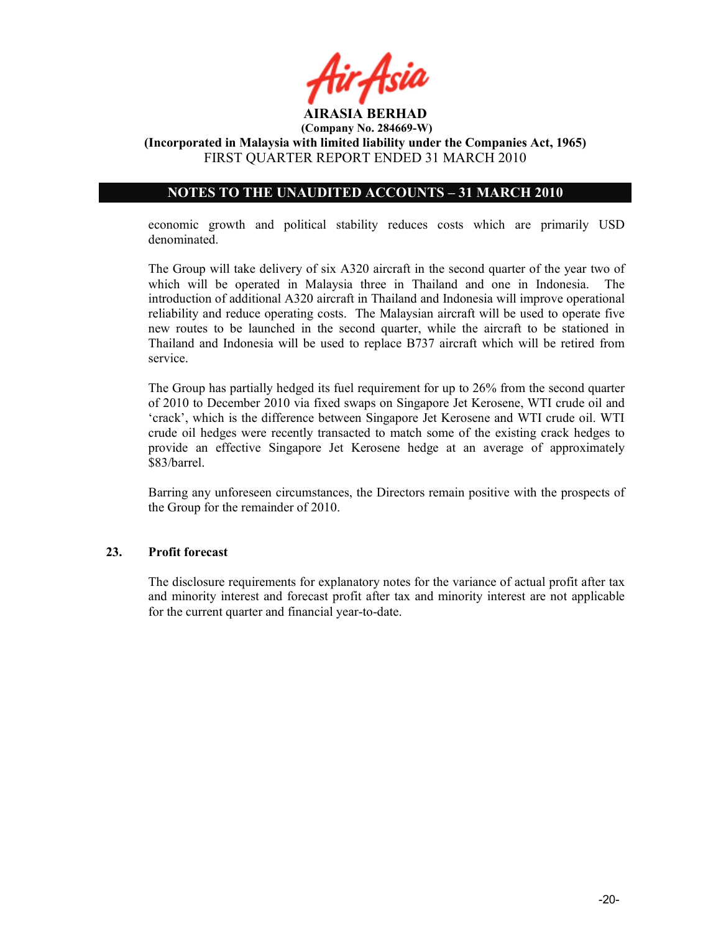

AIRASIA BERHAD (Company No. 284669-W)

(Incorporated in Malaysia with limited liability under the Companies Act, 1965) FIRST QUARTER REPORT ENDED 31 MARCH 2010

# OTES TO THE UAUDITED ACCOUTS – 31 MARCH 2010

economic growth and political stability reduces costs which are primarily USD denominated.

The Group will take delivery of six A320 aircraft in the second quarter of the year two of which will be operated in Malaysia three in Thailand and one in Indonesia. The introduction of additional A320 aircraft in Thailand and Indonesia will improve operational reliability and reduce operating costs. The Malaysian aircraft will be used to operate five new routes to be launched in the second quarter, while the aircraft to be stationed in Thailand and Indonesia will be used to replace B737 aircraft which will be retired from service.

The Group has partially hedged its fuel requirement for up to 26% from the second quarter of 2010 to December 2010 via fixed swaps on Singapore Jet Kerosene, WTI crude oil and 'crack', which is the difference between Singapore Jet Kerosene and WTI crude oil. WTI crude oil hedges were recently transacted to match some of the existing crack hedges to provide an effective Singapore Jet Kerosene hedge at an average of approximately \$83/barrel.

Barring any unforeseen circumstances, the Directors remain positive with the prospects of the Group for the remainder of 2010.

### 23. Profit forecast

The disclosure requirements for explanatory notes for the variance of actual profit after tax and minority interest and forecast profit after tax and minority interest are not applicable for the current quarter and financial year-to-date.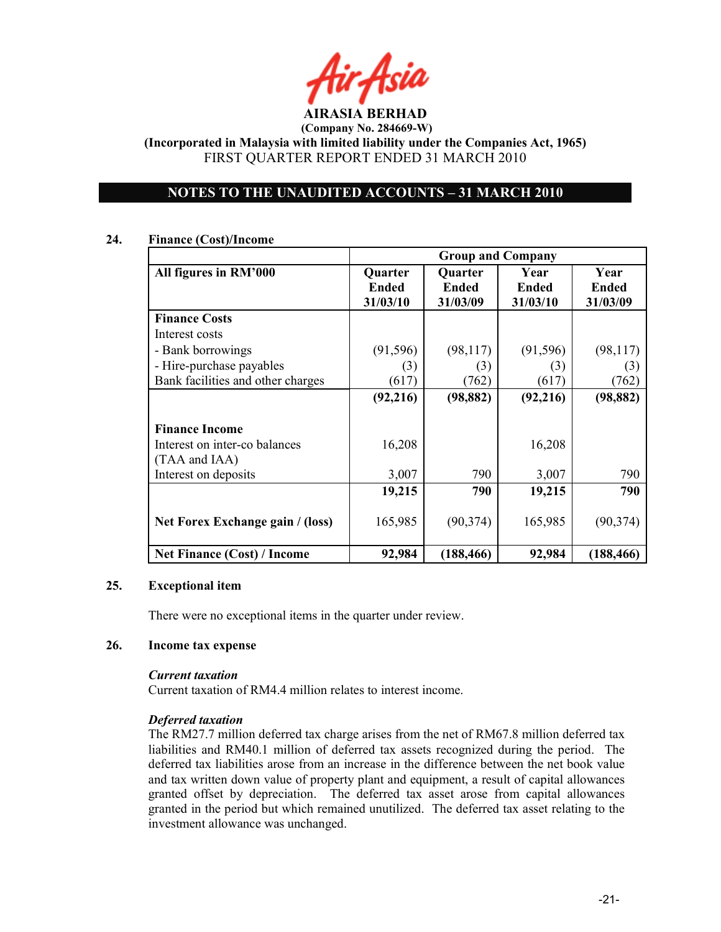AIRASIA BERHAD

# OTES TO THE UAUDITED ACCOUTS – 31 MARCH 2010

### 24. Finance (Cost)/Income

|                                    | <b>Group and Company</b> |                |              |              |
|------------------------------------|--------------------------|----------------|--------------|--------------|
| All figures in RM'000              | <b>Quarter</b>           | <b>Quarter</b> | Year         | Year         |
|                                    | <b>Ended</b>             | <b>Ended</b>   | <b>Ended</b> | <b>Ended</b> |
|                                    | 31/03/10                 | 31/03/09       | 31/03/10     | 31/03/09     |
| <b>Finance Costs</b>               |                          |                |              |              |
| Interest costs                     |                          |                |              |              |
| - Bank borrowings                  | (91, 596)                | (98, 117)      | (91, 596)    | (98, 117)    |
| - Hire-purchase payables           | (3)                      | (3)            | (3)          | (3)          |
| Bank facilities and other charges  | (617)                    | (762)          | (617)        | (762)        |
|                                    | (92, 216)                | (98, 882)      | (92, 216)    | (98, 882)    |
|                                    |                          |                |              |              |
| <b>Finance Income</b>              |                          |                |              |              |
| Interest on inter-co balances      | 16,208                   |                | 16,208       |              |
| (TAA and IAA)                      |                          |                |              |              |
| Interest on deposits               | 3,007                    | 790            | 3,007        | 790          |
|                                    | 19,215                   | 790            | 19,215       | 790          |
|                                    |                          |                |              |              |
| Net Forex Exchange gain / (loss)   | 165,985                  | (90, 374)      | 165,985      | (90, 374)    |
|                                    |                          |                |              |              |
| <b>Net Finance (Cost) / Income</b> | 92,984                   | (188, 466)     | 92,984       | (188, 466)   |

### 25. Exceptional item

There were no exceptional items in the quarter under review.

### 26. Income tax expense

### Current taxation

Current taxation of RM4.4 million relates to interest income.

### Deferred taxation

The RM27.7 million deferred tax charge arises from the net of RM67.8 million deferred tax liabilities and RM40.1 million of deferred tax assets recognized during the period. The deferred tax liabilities arose from an increase in the difference between the net book value and tax written down value of property plant and equipment, a result of capital allowances granted offset by depreciation. The deferred tax asset arose from capital allowances granted in the period but which remained unutilized. The deferred tax asset relating to the investment allowance was unchanged.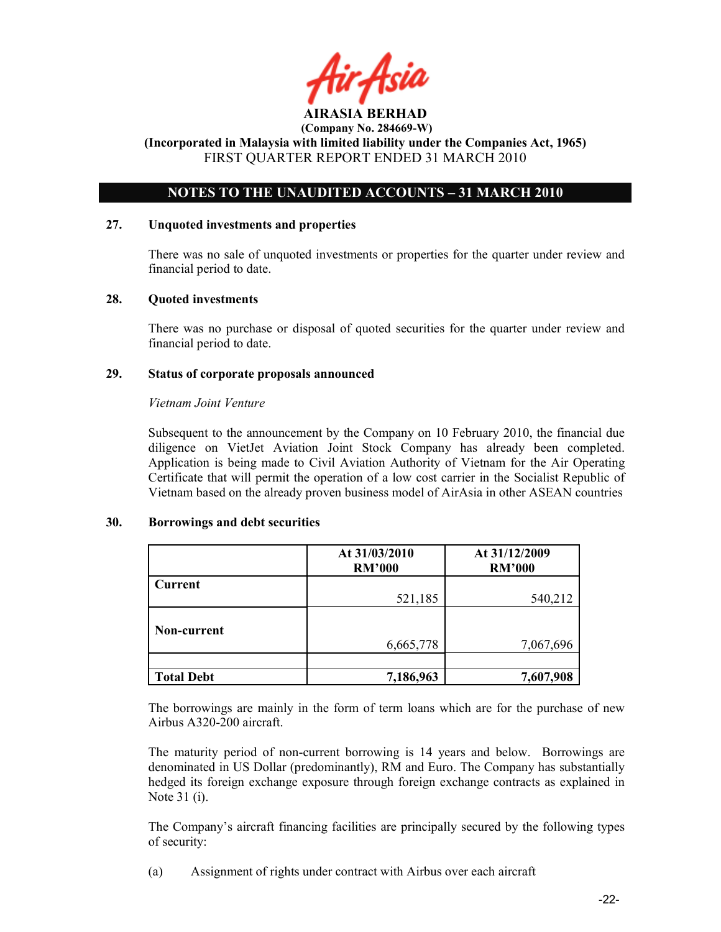# OTES TO THE UAUDITED ACCOUTS – 31 MARCH 2010

### 27. Unquoted investments and properties

There was no sale of unquoted investments or properties for the quarter under review and financial period to date.

### 28. Quoted investments

There was no purchase or disposal of quoted securities for the quarter under review and financial period to date.

### 29. Status of corporate proposals announced

### Vietnam Joint Venture

Subsequent to the announcement by the Company on 10 February 2010, the financial due diligence on VietJet Aviation Joint Stock Company has already been completed. Application is being made to Civil Aviation Authority of Vietnam for the Air Operating Certificate that will permit the operation of a low cost carrier in the Socialist Republic of Vietnam based on the already proven business model of AirAsia in other ASEAN countries

### 30. Borrowings and debt securities

|                   | At 31/03/2010<br><b>RM'000</b> | At 31/12/2009<br><b>RM'000</b> |
|-------------------|--------------------------------|--------------------------------|
| <b>Current</b>    |                                |                                |
|                   | 521,185                        | 540,212                        |
|                   |                                |                                |
| Non-current       |                                |                                |
|                   | 6,665,778                      | 7,067,696                      |
|                   |                                |                                |
| <b>Total Debt</b> | 7,186,963                      | 7,607,908                      |

The borrowings are mainly in the form of term loans which are for the purchase of new Airbus A320-200 aircraft.

The maturity period of non-current borrowing is 14 years and below. Borrowings are denominated in US Dollar (predominantly), RM and Euro. The Company has substantially hedged its foreign exchange exposure through foreign exchange contracts as explained in Note 31 (i).

The Company's aircraft financing facilities are principally secured by the following types of security:

(a) Assignment of rights under contract with Airbus over each aircraft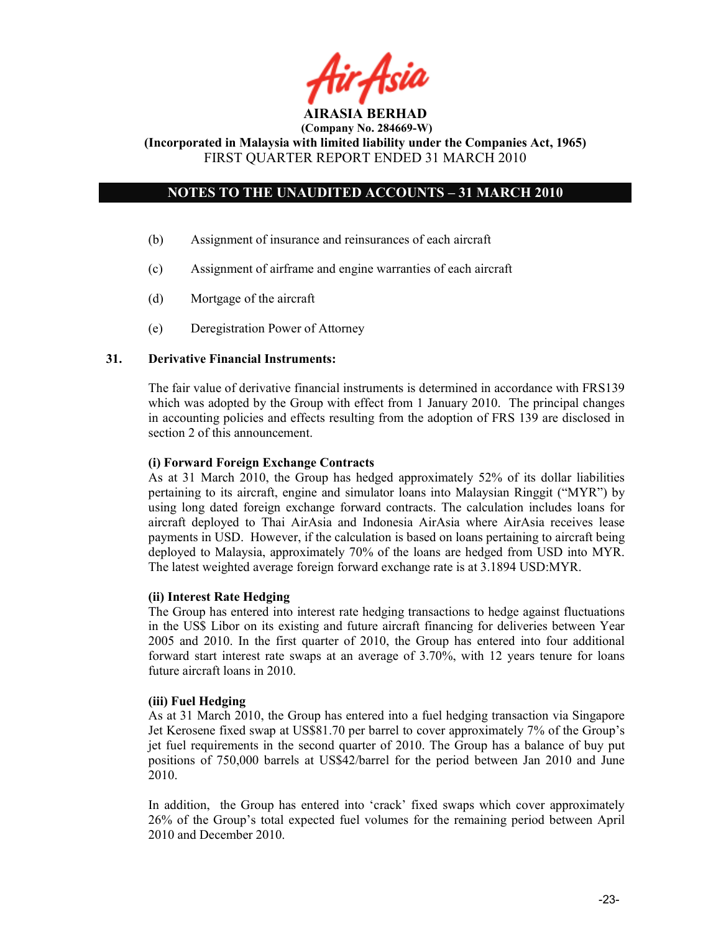

# OTES TO THE UAUDITED ACCOUTS – 31 MARCH 2010

- (b) Assignment of insurance and reinsurances of each aircraft
- (c) Assignment of airframe and engine warranties of each aircraft
- (d) Mortgage of the aircraft
- (e) Deregistration Power of Attorney

### 31. Derivative Financial Instruments:

The fair value of derivative financial instruments is determined in accordance with FRS139 which was adopted by the Group with effect from 1 January 2010. The principal changes in accounting policies and effects resulting from the adoption of FRS 139 are disclosed in section 2 of this announcement.

### (i) Forward Foreign Exchange Contracts

As at 31 March 2010, the Group has hedged approximately 52% of its dollar liabilities pertaining to its aircraft, engine and simulator loans into Malaysian Ringgit ("MYR") by using long dated foreign exchange forward contracts. The calculation includes loans for aircraft deployed to Thai AirAsia and Indonesia AirAsia where AirAsia receives lease payments in USD. However, if the calculation is based on loans pertaining to aircraft being deployed to Malaysia, approximately 70% of the loans are hedged from USD into MYR. The latest weighted average foreign forward exchange rate is at 3.1894 USD:MYR.

### (ii) Interest Rate Hedging

The Group has entered into interest rate hedging transactions to hedge against fluctuations in the US\$ Libor on its existing and future aircraft financing for deliveries between Year 2005 and 2010. In the first quarter of 2010, the Group has entered into four additional forward start interest rate swaps at an average of 3.70%, with 12 years tenure for loans future aircraft loans in 2010.

### (iii) Fuel Hedging

As at 31 March 2010, the Group has entered into a fuel hedging transaction via Singapore Jet Kerosene fixed swap at US\$81.70 per barrel to cover approximately 7% of the Group's jet fuel requirements in the second quarter of 2010. The Group has a balance of buy put positions of 750,000 barrels at US\$42/barrel for the period between Jan 2010 and June 2010.

In addition, the Group has entered into 'crack' fixed swaps which cover approximately 26% of the Group's total expected fuel volumes for the remaining period between April 2010 and December 2010.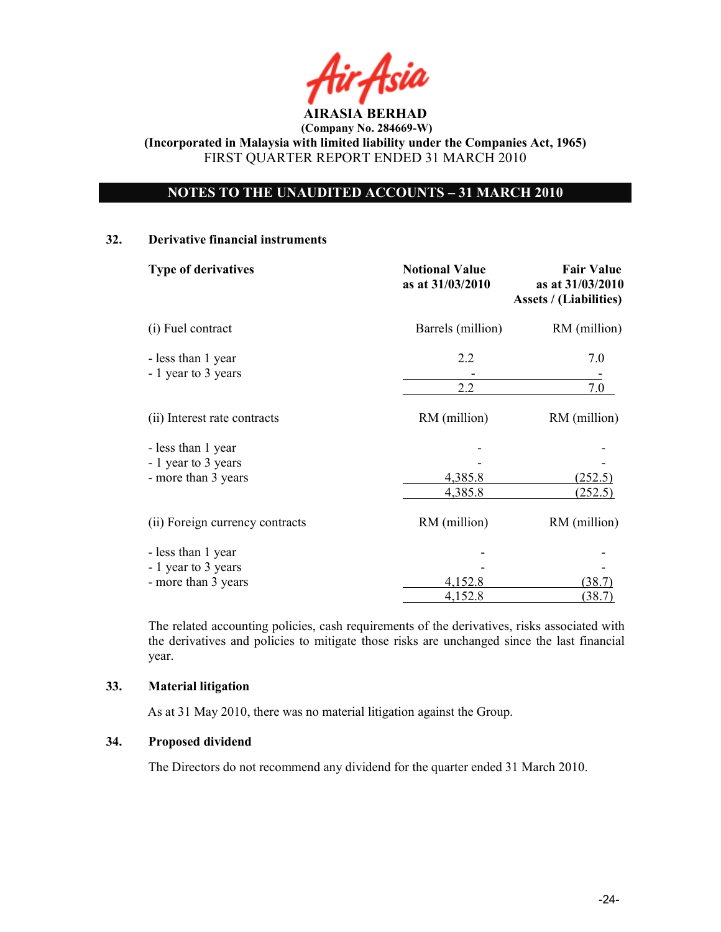

# OTES TO THE UAUDITED ACCOUTS – 31 MARCH 2010

### 32. Derivative financial instruments

| <b>Type of derivatives</b>                | <b>Notional Value</b><br>as at 31/03/2010 | <b>Fair Value</b><br>as at 31/03/2010<br><b>Assets / (Liabilities)</b> |
|-------------------------------------------|-------------------------------------------|------------------------------------------------------------------------|
| (i) Fuel contract                         | Barrels (million)                         | RM (million)                                                           |
| - less than 1 year<br>- 1 year to 3 years | 2.2                                       | 7.0                                                                    |
|                                           | 2.2                                       | 7.0                                                                    |
| (ii) Interest rate contracts              | RM (million)                              | RM (million)                                                           |
| - less than 1 year                        |                                           |                                                                        |
| - 1 year to 3 years                       |                                           |                                                                        |
| - more than 3 years                       | 4,385.8                                   | (252.5)                                                                |
|                                           | 4,385.8                                   | (252.5)                                                                |
| (ii) Foreign currency contracts           | RM (million)                              | RM (million)                                                           |
| - less than 1 year                        |                                           |                                                                        |
| - 1 year to 3 years                       |                                           |                                                                        |
| - more than 3 years                       | 4,152.8                                   | 38.7                                                                   |
|                                           | 4,152.8                                   | (38.7)                                                                 |

The related accounting policies, cash requirements of the derivatives, risks associated with the derivatives and policies to mitigate those risks are unchanged since the last financial year.

### 33. Material litigation

As at 31 May 2010, there was no material litigation against the Group.

# 34. Proposed dividend

The Directors do not recommend any dividend for the quarter ended 31 March 2010.